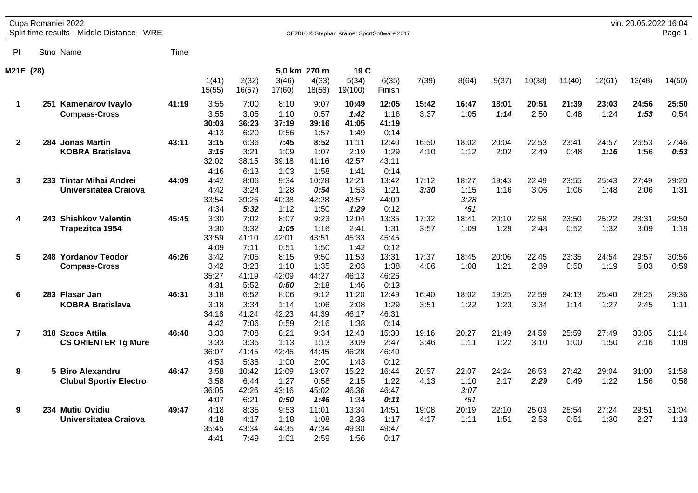|                         | Cupa Romaniei 2022<br>Split time results - Middle Distance - WRE |       |                               |                                |                                |                                | OE2010 © Stephan Krämer SportSoftware 2017 |                                |               |                                |               |               |               |               | vin. 20.05.2022 16:04 | Page 1        |
|-------------------------|------------------------------------------------------------------|-------|-------------------------------|--------------------------------|--------------------------------|--------------------------------|--------------------------------------------|--------------------------------|---------------|--------------------------------|---------------|---------------|---------------|---------------|-----------------------|---------------|
| PI                      | Stno Name                                                        | Time  |                               |                                |                                |                                |                                            |                                |               |                                |               |               |               |               |                       |               |
| M21E (28)               |                                                                  |       |                               |                                |                                | 5,0 km 270 m                   | 19 C                                       |                                |               |                                |               |               |               |               |                       |               |
|                         |                                                                  |       | 1(41)<br>15(55)               | 2(32)<br>16(57)                | 3(46)<br>17(60)                | 4(33)<br>18(58)                | 5(34)<br>19(100)                           | 6(35)<br>Finish                | 7(39)         | 8(64)                          | 9(37)         | 10(38)        | 11(40)        | 12(61)        | 13(48)                | 14(50)        |
| 1                       | 251 Kamenarov Ivaylo<br><b>Compass-Cross</b>                     | 41:19 | 3:55<br>3:55<br>30:03<br>4:13 | 7:00<br>3:05<br>36:23<br>6:20  | 8:10<br>1:10<br>37:19<br>0:56  | 9:07<br>0:57<br>39:16<br>1:57  | 10:49<br>1:42<br>41:05<br>1:49             | 12:05<br>1:16<br>41:19<br>0:14 | 15:42<br>3:37 | 16:47<br>1:05                  | 18:01<br>1:14 | 20:51<br>2:50 | 21:39<br>0:48 | 23:03<br>1:24 | 24:56<br>1:53         | 25:50<br>0:54 |
| $\mathbf 2$             | 284 Jonas Martin<br><b>KOBRA Bratislava</b>                      | 43:11 | 3:15<br>3:15<br>32:02<br>4:16 | 6:36<br>3:21<br>38:15<br>6:13  | 7:45<br>1:09<br>39:18<br>1:03  | 8:52<br>1:07<br>41:16<br>1:58  | 11:11<br>2:19<br>42:57<br>1:41             | 12:40<br>1:29<br>43:11<br>0:14 | 16:50<br>4:10 | 18:02<br>1:12                  | 20:04<br>2:02 | 22:53<br>2:49 | 23:41<br>0:48 | 24:57<br>1:16 | 26:53<br>1:56         | 27:46<br>0:53 |
| 3                       | 233 Tintar Mihai Andrei<br>Universitatea Craiova                 | 44:09 | 4:42<br>4:42<br>33:54<br>4:34 | 8:06<br>3:24<br>39:26<br>5:32  | 9:34<br>1:28<br>40:38<br>1:12  | 10:28<br>0:54<br>42:28<br>1:50 | 12:21<br>1:53<br>43:57<br>1:29             | 13:42<br>1:21<br>44:09<br>0:12 | 17:12<br>3:30 | 18:27<br>1:15<br>3:28<br>$*51$ | 19:43<br>1:16 | 22:49<br>3:06 | 23:55<br>1:06 | 25:43<br>1:48 | 27:49<br>2:06         | 29:20<br>1:31 |
| 4                       | 243 Shishkov Valentin<br><b>Trapezitca 1954</b>                  | 45:45 | 3:30<br>3:30<br>33:59<br>4:09 | 7:02<br>3:32<br>41:10<br>7:11  | 8:07<br>1:05<br>42:01<br>0:51  | 9:23<br>1:16<br>43:51<br>1:50  | 12:04<br>2:41<br>45:33<br>1:42             | 13:35<br>1:31<br>45:45<br>0:12 | 17:32<br>3:57 | 18:41<br>1:09                  | 20:10<br>1:29 | 22:58<br>2:48 | 23:50<br>0:52 | 25:22<br>1:32 | 28:31<br>3:09         | 29:50<br>1:19 |
| 5                       | 248 Yordanov Teodor<br><b>Compass-Cross</b>                      | 46:26 | 3:42<br>3:42<br>35:27<br>4:31 | 7:05<br>3:23<br>41:19<br>5:52  | 8:15<br>1:10<br>42:09<br>0:50  | 9:50<br>1:35<br>44:27<br>2:18  | 11:53<br>2:03<br>46:13<br>1:46             | 13:31<br>1:38<br>46:26<br>0:13 | 17:37<br>4:06 | 18:45<br>1:08                  | 20:06<br>1:21 | 22:45<br>2:39 | 23:35<br>0:50 | 24:54<br>1:19 | 29:57<br>5:03         | 30:56<br>0:59 |
| 6                       | 283 Flasar Jan<br><b>KOBRA Bratislava</b>                        | 46:31 | 3:18<br>3:18<br>34:18<br>4:42 | 6:52<br>3:34<br>41:24<br>7:06  | 8:06<br>1:14<br>42:23<br>0:59  | 9:12<br>1:06<br>44:39<br>2:16  | 11:20<br>2:08<br>46:17<br>1:38             | 12:49<br>1:29<br>46:31<br>0:14 | 16:40<br>3:51 | 18:02<br>1:22                  | 19:25<br>1:23 | 22:59<br>3:34 | 24:13<br>1:14 | 25:40<br>1:27 | 28:25<br>2:45         | 29:36<br>1:11 |
| $\overline{\mathbf{r}}$ | 318 Szocs Attila<br><b>CS ORIENTER Tg Mure</b>                   | 46:40 | 3:33<br>3:33<br>36:07<br>4:53 | 7:08<br>3:35<br>41:45<br>5:38  | 8:21<br>1:13<br>42:45<br>1:00  | 9:34<br>1:13<br>44:45<br>2:00  | 12:43<br>3:09<br>46:28<br>1:43             | 15:30<br>2:47<br>46:40<br>0:12 | 19:16<br>3:46 | 20:27<br>1:11                  | 21:49<br>1:22 | 24:59<br>3:10 | 25:59<br>1:00 | 27:49<br>1:50 | 30:05<br>2:16         | 31:14<br>1:09 |
| 8                       | 5 Biro Alexandru<br><b>Clubul Sportiv Electro</b>                | 46:47 | 3:58<br>3:58<br>36:05<br>4:07 | 10:42<br>6:44<br>42:26<br>6:21 | 12:09<br>1:27<br>43:16<br>0:50 | 13:07<br>0:58<br>45:02<br>1:46 | 15:22<br>2:15<br>46:36<br>1:34             | 16:44<br>1:22<br>46:47<br>0:11 | 20:57<br>4:13 | 22:07<br>1:10<br>3:07<br>$*51$ | 24:24<br>2:17 | 26:53<br>2:29 | 27:42<br>0:49 | 29:04<br>1:22 | 31:00<br>1:56         | 31:58<br>0:58 |
| 9                       | 234 Mutiu Ovidiu<br>Universitatea Craiova                        | 49:47 | 4:18<br>4:18<br>35:45<br>4:41 | 8:35<br>4:17<br>43:34<br>7:49  | 9:53<br>1:18<br>44:35<br>1:01  | 11:01<br>1:08<br>47:34<br>2:59 | 13:34<br>2:33<br>49:30<br>1:56             | 14:51<br>1:17<br>49:47<br>0:17 | 19:08<br>4:17 | 20:19<br>1:11                  | 22:10<br>1:51 | 25:03<br>2:53 | 25:54<br>0:51 | 27:24<br>1:30 | 29:51<br>2:27         | 31:04<br>1:13 |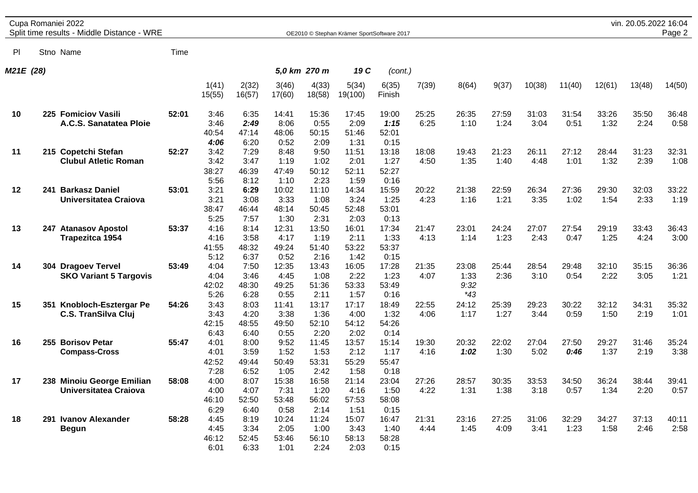| Cupa Romaniei 2022 | vin. 20.05.2022 16:04 |  |
|--------------------|-----------------------|--|
|                    |                       |  |

Split time results - Middle Distance - WRE **DEXAMPLE CONTRACT CONTRACT OF STEPHAN KRIMER** SportSoftware 2017 **Page 2** 

Pl Stno Name Time *M21E (28) 5,0 km 270 m 19 C (cont.)* 1(41) 2(32) 3(46) 4(33) 5(34) 6(35) 7(39) 8(64) 9(37) 10(38) 11(40) 12(61) 13(48) 14(50) 15(55) 16(57) 17(60) 18(58) 19(100) Finish **10 225 Fomiciov Vasili 52:01** 3:46 6:35 14:41 15:36 17:45 19:00 25:25 26:35 27:59 31:03 31:54 33:26 35:50 36:48 **A.C.S. Sanatatea Ploie** 3:46 *2:49* 8:06 0:55 2:09 *1:15* 6:25 1:10 1:24 3:04 0:51 1:32 2:24 0:58 40:54 47:14 48:06 50:15 51:46 52:01 *4:06* 6:20 0:52 2:09 1:31 0:15 **11 215 Copetchi Stefan 52:27** 3:42 7:29 8:48 9:50 11:51 13:18 18:08 19:43 21:23 26:11 27:12 28:44 31:23 32:31 **Clubul Atletic Roman** 3:42 3:47 1:19 1:02 2:01 1:27 4:50 1:35 1:40 4:48 1:01 1:32 2:39 1:08 38:27 46:39 47:49 50:12 52:11 52:27 5:56 8:12 1:10 2:23 1:59 0:16 **12 241 Barkasz Daniel 53:01** 3:21 **6:29** 10:02 11:10 14:34 15:59 20:22 21:38 22:59 26:34 27:36 29:30 32:03 33:22 **Universitatea Craiova** 3:21 3:08 3:33 1:08 3:24 1:25 4:23 1:16 1:21 3:35 1:02 1:54 2:33 1:19 38:47 46:44 48:14 50:45 52:48 53:01 5:25 7:57 1:30 2:31 2:03 0:13 **13 247 Atanasov Apostol 53:37** 4:16 8:14 12:31 13:50 16:01 17:34 21:47 23:01 24:24 27:07 27:54 29:19 33:43 36:43 **Trapezitca 1954** 4:16 3:58 4:17 1:19 2:11 1:33 4:13 1:14 1:23 2:43 0:47 1:25 4:24 3:00 41:55 48:32 49:24 51:40 53:22 53:37 5:12 6:37 0:52 2:16 1:42 0:15 **14 304 Dragoev Tervel 53:49** 4:04 7:50 12:35 13:43 16:05 17:28 21:35 23:08 25:44 28:54 29:48 32:10 35:15 36:36 **SKO Variant 5 Targovis** 4:04 3:46 4:45 1:08 2:22 1:23 4:07 1:33 2:36 3:10 0:54 2:22 3:05 1:21 42:02 48:30 49:25 51:36 53:33 53:49 *9:32* 5:26 6:28 0:55 2:11 1:57 0:16 *\*43* **15 351 Knobloch-Esztergar Pe 54:26** 3:43 8:03 11:41 13:17 17:17 18:49 22:55 24:12 25:39 29:23 30:22 32:12 34:31 35:32 **C.S. TranSilva Cluj** 3:43 4:20 3:38 1:36 4:00 1:32 4:06 1:17 1:27 3:44 0:59 1:50 2:19 1:01 42:15 48:55 49:50 52:10 54:12 54:26 6:43 6:40 0:55 2:20 2:02 0:14 **16 255 Borisov Petar 55:47** 4:01 8:00 9:52 11:45 13:57 15:14 19:30 20:32 22:02 27:04 27:50 29:27 31:46 35:24 **Compass-Cross** 4:01 3:59 1:52 1:53 2:12 1:17 4:16 *1:02* 1:30 5:02 *0:46* 1:37 2:19 3:38 42:52 49:44 50:49 53:31 55:29 55:47 7:28 6:52 1:05 2:42 1:58 0:18 **17 238 Minoiu George Emilian 58:08** 4:00 8:07 15:38 16:58 21:14 23:04 27:26 28:57 30:35 33:53 34:50 36:24 38:44 39:41 **Universitatea Craiova** 4:00 4:07 7:31 1:20 4:16 1:50 4:22 1:31 1:38 3:18 0:57 1:34 2:20 0:57 46:10 52:50 53:48 56:02 57:53 58:08 6:29 6:40 0:58 2:14 1:51 0:15 **18 291 Ivanov Alexander 58:28** 4:45 8:19 10:24 11:24 15:07 16:47 21:31 23:16 27:25 31:06 32:29 34:27 37:13 40:11 **Begun** 4:45 3:34 2:05 1:00 3:43 1:40 4:44 1:45 4:09 3:41 1:23 1:58 2:46 2:58 46:12 52:45 53:46 56:10 58:13 58:28

6:01 6:33 1:01 2:24 2:03 0:15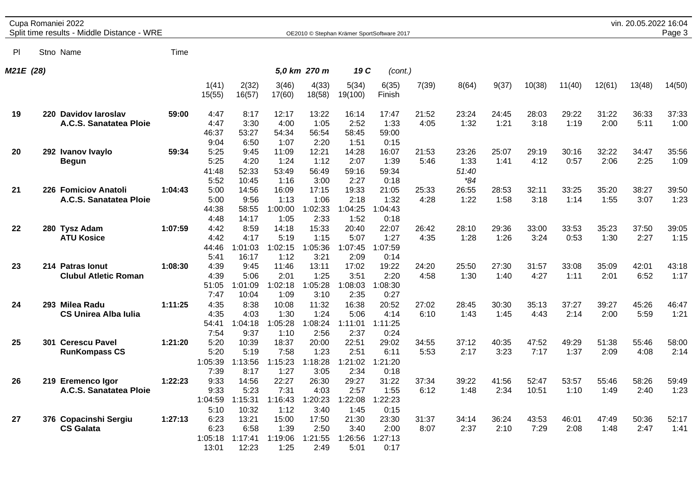| Cupa Romaniei 2022 | vin. 20.05.2022 16:04 |  |
|--------------------|-----------------------|--|
|                    |                       |  |

Split time results - Middle Distance - WRE **DEXAMPLE CONTRACT CONTRACT OF STEPHAN CONTRACTS** OF 2010 © Stephan Krämer SportSoftware 2017 **Page 3** 

Pl Stno Name Time *M21E (28) 5,0 km 270 m 19 C (cont.)* 1(41) 2(32) 3(46) 4(33) 5(34) 6(35) 7(39) 8(64) 9(37) 10(38) 11(40) 12(61) 13(48) 14(50) 15(55) 16(57) 17(60) 18(58) 19(100) Finish **19 220 Davidov Iaroslav 59:00** 4:47 8:17 12:17 13:22 16:14 17:47 21:52 23:24 24:45 28:03 29:22 31:22 36:33 37:33 **A.C.S. Sanatatea Ploie** 4:47 3:30 4:00 1:05 2:52 1:33 4:05 1:32 1:21 3:18 1:19 2:00 5:11 1:00 46:37 53:27 54:34 56:54 58:45 59:00 9:04 6:50 1:07 2:20 1:51 0:15 **20 292 Ivanov Ivaylo 59:34** 5:25 9:45 11:09 12:21 14:28 16:07 21:53 23:26 25:07 29:19 30:16 32:22 34:47 35:56 **Begun** 5:25 4:20 1:24 1:12 2:07 1:39 5:46 1:33 1:41 4:12 0:57 2:06 2:25 1:09 41:48 52:33 53:49 56:49 59:16 59:34 *51:40* 5:52 10:45 1:16 3:00 2:27 0:18 *\*84* **21 226 Fomiciov Anatoli 1:04:43** 5:00 14:56 16:09 17:15 19:33 21:05 25:33 26:55 28:53 32:11 33:25 35:20 38:27 39:50 **A.C.S. Sanatatea Ploie** 5:00 9:56 1:13 1:06 2:18 1:32 4:28 1:22 1:58 3:18 1:14 1:55 3:07 1:23 44:38 58:55 1:00:00 1:02:33 1:04:25 1:04:43 4:48 14:17 1:05 2:33 1:52 0:18 **22 280 Tysz Adam 1:07:59** 4:42 8:59 14:18 15:33 20:40 22:07 26:42 28:10 29:36 33:00 33:53 35:23 37:50 39:05 **ATU Kosice** 4:42 4:17 5:19 1:15 5:07 1:27 4:35 1:28 1:26 3:24 0:53 1:30 2:27 1:15 44:46 1:01:03 1:02:15 1:05:36 1:07:45 1:07:59 5:41 16:17 1:12 3:21 2:09 0:14 **23 214 Patras Ionut 1:08:30** 4:39 9:45 11:46 13:11 17:02 19:22 24:20 25:50 27:30 31:57 33:08 35:09 42:01 43:18 **Clubul Atletic Roman** 4:39 5:06 2:01 1:25 3:51 2:20 4:58 1:30 1:40 4:27 1:11 2:01 6:52 1:17 51:05 1:01:09 1:02:18 1:05:28 1:08:03 1:08:30 7:47 10:04 1:09 3:10 2:35 0:27 **24 293 Milea Radu 1:11:25** 4:35 8:38 10:08 11:32 16:38 20:52 27:02 28:45 30:30 35:13 37:27 39:27 45:26 46:47 **CS Unirea Alba Iulia** 4:35 4:03 1:30 1:24 5:06 4:14 6:10 1:43 1:45 4:43 2:14 2:00 5:59 1:21 54:41 1:04:18 1:05:28 1:08:24 1:11:01 1:11:25 7:54 9:37 1:10 2:56 2:37 0:24 **25 301 Cerescu Pavel 1:21:20** 5:20 10:39 18:37 20:00 22:51 29:02 34:55 37:12 40:35 47:52 49:29 51:38 55:46 58:00 **RunKompass CS** 5:20 5:19 7:58 1:23 2:51 6:11 5:53 2:17 3:23 7:17 1:37 2:09 4:08 2:14 1:05:39 1:13:56 1:15:23 1:18:28 1:21:02 1:21:20 7:39 8:17 1:27 3:05 2:34 0:18 **26 219 Eremenco Igor 1:22:23** 9:33 14:56 22:27 26:30 29:27 31:22 37:34 39:22 41:56 52:47 53:57 55:46 58:26 59:49 **A.C.S. Sanatatea Ploie** 9:33 5:23 7:31 4:03 2:57 1:55 6:12 1:48 2:34 10:51 1:10 1:49 2:40 1:23 1:04:59 1:15:31 1:16:43 1:20:23 1:22:08 1:22:23 5:10 10:32 1:12 3:40 1:45 0:15 **27 376 Copacinshi Sergiu 1:27:13** 6:23 13:21 15:00 17:50 21:30 23:30 31:37 34:14 36:24 43:53 46:01 47:49 50:36 52:17 **CS Galata** 6:23 6:58 1:39 2:50 3:40 2:00 8:07 2:37 2:10 7:29 2:08 1:48 2:47 1:41 1:05:18 1:17:41 1:19:06 1:21:55 1:26:56 1:27:13

13:01 12:23 1:25 2:49 5:01 0:17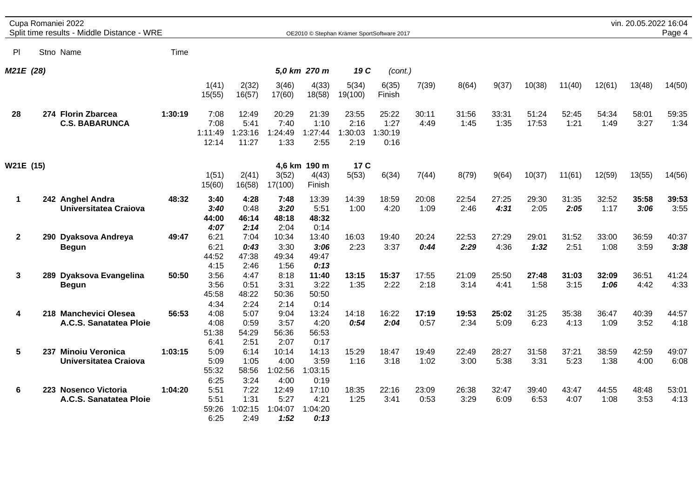|              | Cupa Romaniei 2022<br>Split time results - Middle Distance - WRE |         |                                  |                                   |                                  |                                  |                                            |                                  |               |               |               |                |               |               | vin. 20.05.2022 16:04 | Page 4        |
|--------------|------------------------------------------------------------------|---------|----------------------------------|-----------------------------------|----------------------------------|----------------------------------|--------------------------------------------|----------------------------------|---------------|---------------|---------------|----------------|---------------|---------------|-----------------------|---------------|
|              |                                                                  |         |                                  |                                   |                                  |                                  | OE2010 © Stephan Krämer SportSoftware 2017 |                                  |               |               |               |                |               |               |                       |               |
| P            | Stno Name                                                        | Time    |                                  |                                   |                                  |                                  |                                            |                                  |               |               |               |                |               |               |                       |               |
| M21E (28)    |                                                                  |         |                                  |                                   |                                  | 5,0 km 270 m                     | 19 C                                       | (cont.)                          |               |               |               |                |               |               |                       |               |
|              |                                                                  |         | 1(41)<br>15(55)                  | 2(32)<br>16(57)                   | 3(46)<br>17(60)                  | 4(33)<br>18(58)                  | 5(34)<br>19(100)                           | 6(35)<br>Finish                  | 7(39)         | 8(64)         | 9(37)         | 10(38)         | 11(40)        | 12(61)        | 13(48)                | 14(50)        |
| 28           | 274 Florin Zbarcea<br><b>C.S. BABARUNCA</b>                      | 1:30:19 | 7:08<br>7:08<br>1:11:49<br>12:14 | 12:49<br>5:41<br>1:23:16<br>11:27 | 20:29<br>7:40<br>1:24:49<br>1:33 | 21:39<br>1:10<br>1:27:44<br>2:55 | 23:55<br>2:16<br>1:30:03<br>2:19           | 25:22<br>1:27<br>1:30:19<br>0:16 | 30:11<br>4:49 | 31:56<br>1:45 | 33:31<br>1:35 | 51:24<br>17:53 | 52:45<br>1:21 | 54:34<br>1:49 | 58:01<br>3:27         | 59:35<br>1:34 |
| W21E (15)    |                                                                  |         | 1(51)<br>15(60)                  | 2(41)<br>16(58)                   | 3(52)<br>17(100)                 | 4,6 km 190 m<br>4(43)<br>Finish  | 17 C<br>5(53)                              | 6(34)                            | 7(44)         | 8(79)         | 9(64)         | 10(37)         | 11(61)        | 12(59)        | 13(55)                | 14(56)        |
| 1            | 242 Anghel Andra<br>Universitatea Craiova                        | 48:32   | 3:40<br>3:40<br>44:00<br>4:07    | 4:28<br>0:48<br>46:14<br>2:14     | 7:48<br>3:20<br>48:18<br>2:04    | 13:39<br>5:51<br>48:32<br>0:14   | 14:39<br>1:00                              | 18:59<br>4:20                    | 20:08<br>1:09 | 22:54<br>2:46 | 27:25<br>4:31 | 29:30<br>2:05  | 31:35<br>2:05 | 32:52<br>1:17 | 35:58<br>3:06         | 39:53<br>3:55 |
| $\mathbf{2}$ | 290 Dyaksova Andreya<br><b>Begun</b>                             | 49:47   | 6:21<br>6:21<br>44:52<br>4:15    | 7:04<br>0:43<br>47:38<br>2:46     | 10:34<br>3:30<br>49:34<br>1:56   | 13:40<br>3:06<br>49:47<br>0:13   | 16:03<br>2:23                              | 19:40<br>3:37                    | 20:24<br>0:44 | 22:53<br>2:29 | 27:29<br>4:36 | 29:01<br>1:32  | 31:52<br>2:51 | 33:00<br>1:08 | 36:59<br>3:59         | 40:37<br>3:38 |
| 3            | 289 Dyaksova Evangelina<br><b>Begun</b>                          | 50:50   | 3:56<br>3:56<br>45:58<br>4:34    | 4:47<br>0:51<br>48:22<br>2:24     | 8:18<br>3:31<br>50:36<br>2:14    | 11:40<br>3:22<br>50:50<br>0:14   | 13:15<br>1:35                              | 15:37<br>2:22                    | 17:55<br>2:18 | 21:09<br>3:14 | 25:50<br>4:41 | 27:48<br>1:58  | 31:03<br>3:15 | 32:09<br>1:06 | 36:51<br>4:42         | 41:24<br>4:33 |
| 4            | 218 Manchevici Olesea<br>A.C.S. Sanatatea Ploie                  | 56:53   | 4:08<br>4:08<br>51:38<br>6:41    | 5:07<br>0:59<br>54:29<br>2:51     | 9:04<br>3:57<br>56:36<br>2:07    | 13:24<br>4:20<br>56:53<br>0:17   | 14:18<br>0:54                              | 16:22<br>2:04                    | 17:19<br>0:57 | 19:53<br>2:34 | 25:02<br>5:09 | 31:25<br>6:23  | 35:38<br>4:13 | 36:47<br>1:09 | 40:39<br>3:52         | 44:57<br>4:18 |
| 5            | 237 Minoiu Veronica<br>Universitatea Craiova                     | 1:03:15 | 5:09<br>5:09<br>55:32<br>6:25    | 6:14<br>1:05<br>58:56<br>3:24     | 10:14<br>4:00<br>1:02:56<br>4:00 | 14:13<br>3:59<br>1:03:15<br>0:19 | 15:29<br>1:16                              | 18:47<br>3:18                    | 19:49<br>1:02 | 22:49<br>3:00 | 28:27<br>5:38 | 31:58<br>3:31  | 37:21<br>5:23 | 38:59<br>1:38 | 42:59<br>4:00         | 49:07<br>6:08 |
| 6            | 223 Nosenco Victoria<br>A.C.S. Sanatatea Ploie                   | 1:04:20 | 5:51<br>5:51<br>59:26<br>6:25    | 7:22<br>1:31<br>:02:15<br>2:49    | 12:49<br>5:27<br>1:04:07<br>1:52 | 17:10<br>4:21<br>1:04:20<br>0:13 | 18:35<br>1:25                              | 22:16<br>3:41                    | 23:09<br>0:53 | 26:38<br>3:29 | 32:47<br>6:09 | 39:40<br>6:53  | 43:47<br>4:07 | 44:55<br>1:08 | 48:48<br>3:53         | 53:01<br>4:13 |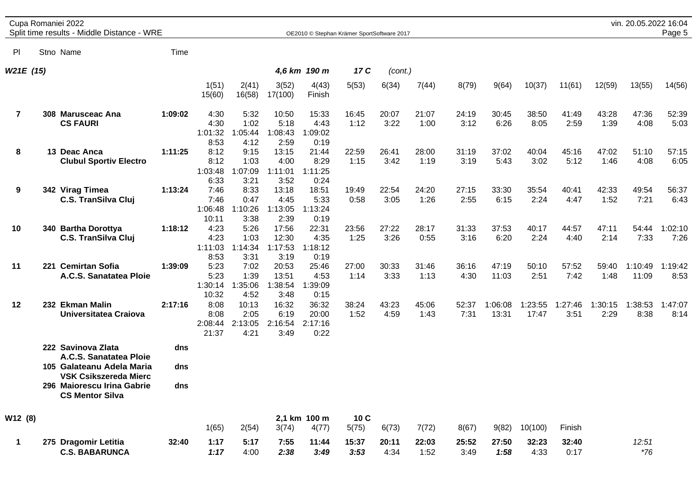|  | Cupa Romaniei 2022 |  |
|--|--------------------|--|
|--|--------------------|--|

Split time results - Middle Distance - WRE OE2010 © Stephan Krämer SportSoftware 2017

| PI                      | Stno Name                                                                            | Time       |                                  |                                  |                                   |                                   |               |               |               |               |                  |                  |                 |                 |                  |                 |
|-------------------------|--------------------------------------------------------------------------------------|------------|----------------------------------|----------------------------------|-----------------------------------|-----------------------------------|---------------|---------------|---------------|---------------|------------------|------------------|-----------------|-----------------|------------------|-----------------|
| W21E (15)               |                                                                                      |            |                                  |                                  |                                   | 4,6 km 190 m                      | 17 C          | (cont.)       |               |               |                  |                  |                 |                 |                  |                 |
|                         |                                                                                      |            | 1(51)<br>15(60)                  | 2(41)<br>16(58)                  | 3(52)<br>17(100)                  | 4(43)<br>Finish                   | 5(53)         | 6(34)         | 7(44)         | 8(79)         | 9(64)            | 10(37)           | 11(61)          | 12(59)          | 13(55)           | 14(56)          |
| $\overline{\mathbf{r}}$ | 308 Marusceac Ana<br><b>CS FAURI</b>                                                 | 1:09:02    | 4:30<br>4:30<br>1:01:32<br>8:53  | 5:32<br>1:02<br>1:05:44<br>4:12  | 10:50<br>5:18<br>1:08:43<br>2:59  | 15:33<br>4:43<br>1:09:02<br>0:19  | 16:45<br>1:12 | 20:07<br>3:22 | 21:07<br>1:00 | 24:19<br>3:12 | 30:45<br>6:26    | 38:50<br>8:05    | 41:49<br>2:59   | 43:28<br>1:39   | 47:36<br>4:08    | 52:39<br>5:03   |
| 8                       | 13 Deac Anca<br><b>Clubul Sportiv Electro</b>                                        | 1:11:25    | 8:12<br>8:12<br>1:03:48<br>6:33  | 9:15<br>1:03<br>1:07:09<br>3:21  | 13:15<br>4:00<br>1:11:01<br>3:52  | 21:44<br>8:29<br>1:11:25<br>0:24  | 22:59<br>1:15 | 26:41<br>3:42 | 28:00<br>1:19 | 31:19<br>3:19 | 37:02<br>5:43    | 40:04<br>3:02    | 45:16<br>5:12   | 47:02<br>1:46   | 51:10<br>4:08    | 57:15<br>6:05   |
| 9                       | 342 Virag Timea<br><b>C.S. TranSilva Cluj</b>                                        | 1:13:24    | 7:46<br>7:46<br>1:06:48<br>10:11 | 8:33<br>0:47<br>1:10:26<br>3:38  | 13:18<br>4:45<br>1:13:05<br>2:39  | 18:51<br>5:33<br>1:13:24<br>0:19  | 19:49<br>0:58 | 22:54<br>3:05 | 24:20<br>1:26 | 27:15<br>2:55 | 33:30<br>6:15    | 35:54<br>2:24    | 40:41<br>4:47   | 42:33<br>1:52   | 49:54<br>7:21    | 56:37<br>6:43   |
| 10                      | 340 Bartha Dorottya<br><b>C.S. TranSilva Cluj</b>                                    | 1:18:12    | 4:23<br>4:23<br>1:11:03<br>8:53  | 5:26<br>1:03<br>1:14:34<br>3:31  | 17:56<br>12:30<br>1:17:53<br>3:19 | 22:31<br>4:35<br>1:18:12<br>0:19  | 23:56<br>1:25 | 27:22<br>3:26 | 28:17<br>0:55 | 31:33<br>3:16 | 37:53<br>6:20    | 40:17<br>2:24    | 44:57<br>4:40   | 47:11<br>2:14   | 54:44<br>7:33    | 1:02:10<br>7:26 |
| 11                      | 221 Cemirtan Sofia<br>A.C.S. Sanatatea Ploie                                         | 1:39:09    | 5:23<br>5:23<br>1:30:14<br>10:32 | 7:02<br>1:39<br>:35:06<br>4:52   | 20:53<br>13:51<br>1:38:54<br>3:48 | 25:46<br>4:53<br>1:39:09<br>0:15  | 27:00<br>1:14 | 30:33<br>3:33 | 31:46<br>1:13 | 36:16<br>4:30 | 47:19<br>11:03   | 50:10<br>2:51    | 57:52<br>7:42   | 59:40<br>1:48   | 1:10:49<br>11:09 | 1:19:42<br>8:53 |
| 12                      | 232 Ekman Malin<br>Universitatea Craiova                                             | 2:17:16    | 8:08<br>8:08<br>2:08:44<br>21:37 | 10:13<br>2:05<br>2:13:05<br>4:21 | 16:32<br>6:19<br>2:16:54<br>3:49  | 36:32<br>20:00<br>2:17:16<br>0:22 | 38:24<br>1:52 | 43:23<br>4:59 | 45:06<br>1:43 | 52:37<br>7:31 | 1:06:08<br>13:31 | 1:23:55<br>17:47 | 1:27:46<br>3:51 | 1:30:15<br>2:29 | 1:38:53<br>8:38  | 1:47:07<br>8:14 |
|                         | 222 Savinova Zlata<br>A.C.S. Sanatatea Ploie<br>105 Galateanu Adela Maria            | dns<br>dns |                                  |                                  |                                   |                                   |               |               |               |               |                  |                  |                 |                 |                  |                 |
|                         | <b>VSK Csikszereda Mierc</b><br>296 Maiorescu Irina Gabrie<br><b>CS Mentor Silva</b> | dns        |                                  |                                  |                                   |                                   |               |               |               |               |                  |                  |                 |                 |                  |                 |
| W12 (8)                 |                                                                                      |            | 1(65)                            | 2(54)                            | 3(74)                             | 2,1 km 100 m<br>4(77)             | 10C<br>5(75)  | 6(73)         | 7(72)         | 8(67)         | 9(82)            | 10(100)          | Finish          |                 |                  |                 |
| 1                       | 275 Dragomir Letitia<br><b>C.S. BABARUNCA</b>                                        | 32:40      | 1:17<br>1:17                     | 5:17<br>4:00                     | 7:55<br>2:38                      | 11:44<br>3:49                     | 15:37<br>3:53 | 20:11<br>4:34 | 22:03<br>1:52 | 25:52<br>3:49 | 27:50<br>1:58    | 32:23<br>4:33    | 32:40<br>0:17   |                 | 12:51<br>$*76$   |                 |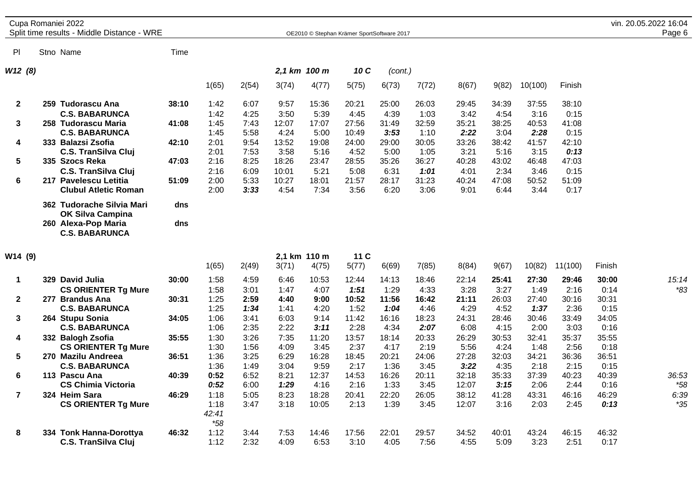|              | Cupa Romaniei 2022<br>Split time results - Middle Distance - WRE |       |       |       |       |              | OE2010 © Stephan Krämer SportSoftware 2017 |         |       |       |       |         |        | vin. 20.05.2022 16:04<br>Page 6 |
|--------------|------------------------------------------------------------------|-------|-------|-------|-------|--------------|--------------------------------------------|---------|-------|-------|-------|---------|--------|---------------------------------|
| <b>PI</b>    | Stno Name                                                        | Time  |       |       |       |              |                                            |         |       |       |       |         |        |                                 |
| W12(8)       |                                                                  |       |       |       |       | 2,1 km 100 m | 10 C                                       | (cont.) |       |       |       |         |        |                                 |
|              |                                                                  |       | 1(65) | 2(54) | 3(74) | 4(77)        | 5(75)                                      | 6(73)   | 7(72) | 8(67) | 9(82) | 10(100) | Finish |                                 |
| $\mathbf{2}$ | Tudorascu Ana<br>259                                             | 38:10 | 1:42  | 6:07  | 9:57  | 15:36        | 20:21                                      | 25:00   | 26:03 | 29:45 | 34:39 | 37:55   | 38:10  |                                 |
|              | <b>C.S. BABARUNCA</b>                                            |       | 1:42  | 4:25  | 3:50  | 5:39         | 4:45                                       | 4:39    | 1:03  | 3:42  | 4:54  | 3:16    | 0:15   |                                 |
| 3            | 258 Tudorascu Maria                                              | 41:08 | 1:45  | 7:43  | 12:07 | 17:07        | 27:56                                      | 31:49   | 32:59 | 35:21 | 38:25 | 40:53   | 41:08  |                                 |
|              | <b>C.S. BABARUNCA</b>                                            |       | 1:45  | 5:58  | 4:24  | 5:00         | 10:49                                      | 3:53    | 1:10  | 2:22  | 3:04  | 2:28    | 0:15   |                                 |
| 4            | 333 Balazsi Zsofia                                               | 42:10 | 2:01  | 9:54  | 13:52 | 19:08        | 24:00                                      | 29:00   | 30:05 | 33:26 | 38:42 | 41:57   | 42:10  |                                 |
|              | <b>C.S. TranSilva Cluj</b>                                       |       | 2:01  | 7:53  | 3:58  | 5:16         | 4:52                                       | 5:00    | 1:05  | 3:21  | 5:16  | 3:15    | 0:13   |                                 |
| 5            | 335 Szocs Reka                                                   | 47:03 | 2:16  | 8:25  | 18:26 | 23:47        | 28:55                                      | 35:26   | 36:27 | 40:28 | 43:02 | 46:48   | 47:03  |                                 |
|              | <b>C.S. TranSilva Cluj</b>                                       |       | 2:16  | 6:09  | 10:01 | 5:21         | 5:08                                       | 6:31    | 1:01  | 4:01  | 2:34  | 3:46    | 0:15   |                                 |
| 6            | 217 Pavelescu Letitia                                            | 51:09 | 2:00  | 5:33  | 10:27 | 18:01        | 21:57                                      | 28:17   | 31:23 | 40:24 | 47:08 | 50:52   | 51:09  |                                 |
|              | <b>Clubul Atletic Roman</b>                                      |       | 2:00  | 3:33  | 4:54  | 7:34         | 3:56                                       | 6:20    | 3:06  | 9:01  | 6:44  | 3:44    | 0:17   |                                 |
|              | 362 Tudorache Silvia Mari<br><b>OK Silva Campina</b>             | dns   |       |       |       |              |                                            |         |       |       |       |         |        |                                 |
|              | 260 Alexa-Pop Maria<br><b>C.S. BABARUNCA</b>                     | dns   |       |       |       |              |                                            |         |       |       |       |         |        |                                 |

| W14 (9)      |                                   |       |       |       |       | 2,1 km 110 m | 11 <sub>C</sub> |       |       |       |       |        |         |        |       |
|--------------|-----------------------------------|-------|-------|-------|-------|--------------|-----------------|-------|-------|-------|-------|--------|---------|--------|-------|
|              |                                   |       | 1(65) | 2(49) | 3(71) | 4(75)        | 5(77)           | 6(69) | 7(85) | 8(84) | 9(67) | 10(82) | 11(100) | Finish |       |
|              | David Julia<br>329                | 30:00 | 1:58  | 4:59  | 6:46  | 10:53        | 12:44           | 14:13 | 18:46 | 22:14 | 25:41 | 27:30  | 29:46   | 30:00  | 15:14 |
|              | <b>CS ORIENTER Tg Mure</b>        |       | 1:58  | 3:01  | 1:47  | 4:07         | 1:51            | 1:29  | 4:33  | 3:28  | 3:27  | 1:49   | 2:16    | 0:14   | *83   |
| $\mathbf{2}$ | 277<br><b>Brandus Ana</b>         | 30:31 | 1:25  | 2:59  | 4:40  | 9:00         | 10:52           | 11:56 | 16:42 | 21:11 | 26:03 | 27:40  | 30:16   | 30:31  |       |
|              | <b>C.S. BABARUNCA</b>             |       | 1:25  | 1:34  | 1:41  | 4:20         | 1:52            | 1:04  | 4:46  | 4:29  | 4:52  | 1:37   | 2:36    | 0:15   |       |
| 3            | <b>Stupu Sonia</b><br>264         | 34:05 | 1:06  | 3:41  | 6:03  | 9:14         | 11:42           | 16:16 | 18:23 | 24:31 | 28:46 | 30:46  | 33:49   | 34:05  |       |
|              | <b>C.S. BABARUNCA</b>             |       | 1:06  | 2:35  | 2:22  | 3:11         | 2:28            | 4:34  | 2:07  | 6:08  | 4:15  | 2:00   | 3:03    | 0:16   |       |
| 4            | 332 Balogh Zsofia                 | 35:55 | 1:30  | 3:26  | 7:35  | 11:20        | 13:57           | 18:14 | 20:33 | 26:29 | 30:53 | 32:41  | 35:37   | 35:55  |       |
|              | <b>CS ORIENTER Tg Mure</b>        |       | 1:30  | 1:56  | 4:09  | 3:45         | 2:37            | 4:17  | 2:19  | 5:56  | 4:24  | 1:48   | 2:56    | 0:18   |       |
| 5            | 270 Mazilu Andreea                | 36:51 | 1:36  | 3:25  | 6:29  | 16:28        | 18:45           | 20:21 | 24:06 | 27:28 | 32:03 | 34:21  | 36:36   | 36:51  |       |
|              | <b>C.S. BABARUNCA</b>             |       | 1:36  | 1:49  | 3:04  | 9:59         | 2:17            | 1:36  | 3:45  | 3:22  | 4:35  | 2:18   | 2:15    | 0:15   |       |
| 6            | <b>Pascu Ana</b><br>113           | 40:39 | 0:52  | 6:52  | 8:21  | 12:37        | 14:53           | 16:26 | 20:11 | 32:18 | 35:33 | 37:39  | 40:23   | 40:39  | 36:53 |
|              | <b>CS Chimia Victoria</b>         |       | 0:52  | 6:00  | 1:29  | 4:16         | 2:16            | 1:33  | 3:45  | 12:07 | 3:15  | 2:06   | 2:44    | 0:16   | *58   |
|              | <b>Heim Sara</b><br>324           | 46:29 | 1:18  | 5:05  | 8:23  | 18:28        | 20:41           | 22:20 | 26:05 | 38:12 | 41:28 | 43:31  | 46:16   | 46:29  | 6:39  |
|              | <b>CS ORIENTER Tg Mure</b>        |       | 1:18  | 3:47  | 3:18  | 10:05        | 2:13            | 1:39  | 3:45  | 12:07 | 3:16  | 2:03   | 2:45    | 0:13   | *35   |
|              |                                   |       | 42:41 |       |       |              |                 |       |       |       |       |        |         |        |       |
|              |                                   |       | $*58$ |       |       |              |                 |       |       |       |       |        |         |        |       |
| 8            | <b>Tonk Hanna-Dorottya</b><br>334 | 46:32 | 1:12  | 3:44  | 7:53  | 14:46        | 17:56           | 22:01 | 29:57 | 34:52 | 40:01 | 43:24  | 46:15   | 46:32  |       |
|              | <b>C.S. TranSilva Cluj</b>        |       | 1:12  | 2:32  | 4:09  | 6:53         | 3:10            | 4:05  | 7:56  | 4:55  | 5:09  | 3:23   | 2:51    | 0:17   |       |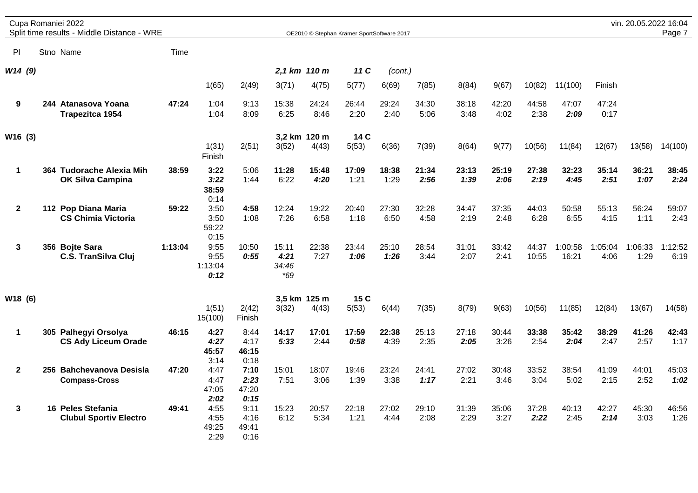|              |  | Cupa Romaniei 2022<br>Split time results - Middle Distance - WRE |         |                                 |                               |                                 |                       | OE2010 © Stephan Krämer SportSoftware 2017 |               |               |               |               |                |                  |                 | vin. 20.05.2022 16:04 | Page 7          |
|--------------|--|------------------------------------------------------------------|---------|---------------------------------|-------------------------------|---------------------------------|-----------------------|--------------------------------------------|---------------|---------------|---------------|---------------|----------------|------------------|-----------------|-----------------------|-----------------|
| PI           |  | Stno Name                                                        | Time    |                                 |                               |                                 |                       |                                            |               |               |               |               |                |                  |                 |                       |                 |
| W14(9)       |  |                                                                  |         |                                 |                               |                                 | 2,1 km 110 m          | 11 C                                       | (cont.)       |               |               |               |                |                  |                 |                       |                 |
|              |  |                                                                  |         | 1(65)                           | 2(49)                         | 3(71)                           | 4(75)                 | 5(77)                                      | 6(69)         | 7(85)         | 8(84)         | 9(67)         | 10(82)         | 11(100)          | Finish          |                       |                 |
| 9            |  | 244 Atanasova Yoana<br><b>Trapezitca 1954</b>                    | 47:24   | 1:04<br>1:04                    | 9:13<br>8:09                  | 15:38<br>6:25                   | 24:24<br>8:46         | 26:44<br>2:20                              | 29:24<br>2:40 | 34:30<br>5:06 | 38:18<br>3:48 | 42:20<br>4:02 | 44:58<br>2:38  | 47:07<br>2:09    | 47:24<br>0:17   |                       |                 |
| W16 (3)      |  |                                                                  |         | 1(31)<br>Finish                 | 2(51)                         | 3(52)                           | 3.2 km 120 m<br>4(43) | 14 C<br>5(53)                              | 6(36)         | 7(39)         | 8(64)         | 9(77)         | 10(56)         | 11(84)           | 12(67)          | 13(58)                | 14(100)         |
| $\mathbf{1}$ |  | 364 Tudorache Alexia Mih<br><b>OK Silva Campina</b>              | 38:59   | 3:22<br>3:22<br>38:59<br>0:14   | 5:06<br>1:44                  | 11:28<br>6:22                   | 15:48<br>4:20         | 17:09<br>1:21                              | 18:38<br>1:29 | 21:34<br>2:56 | 23:13<br>1:39 | 25:19<br>2:06 | 27:38<br>2:19  | 32:23<br>4:45    | 35:14<br>2:51   | 36:21<br>1:07         | 38:45<br>2:24   |
| $\mathbf{2}$ |  | 112 Pop Diana Maria<br><b>CS Chimia Victoria</b>                 | 59:22   | 3:50<br>3:50<br>59:22<br>0:15   | 4:58<br>1:08                  | 12:24<br>7:26                   | 19:22<br>6:58         | 20:40<br>1:18                              | 27:30<br>6:50 | 32:28<br>4:58 | 34:47<br>2:19 | 37:35<br>2:48 | 44:03<br>6:28  | 50:58<br>6:55    | 55:13<br>4:15   | 56:24<br>1:11         | 59:07<br>2:43   |
| 3            |  | 356 Bojte Sara<br><b>C.S. TranSilva Cluj</b>                     | 1:13:04 | 9:55<br>9:55<br>1:13:04<br>0:12 | 10:50<br>0:55                 | 15:11<br>4:21<br>34:46<br>$*69$ | 22:38<br>7:27         | 23:44<br>1:06                              | 25:10<br>1:26 | 28:54<br>3:44 | 31:01<br>2:07 | 33:42<br>2:41 | 44:37<br>10:55 | 1:00:58<br>16:21 | 1:05:04<br>4:06 | 1:06:33<br>1:29       | 1:12:52<br>6:19 |
| W18 (6)      |  |                                                                  |         | 1(51)<br>15(100)                | 2(42)<br>Finish               | 3(32)                           | 3,5 km 125 m<br>4(43) | 15 C<br>5(53)                              | 6(44)         | 7(35)         | 8(79)         | 9(63)         | 10(56)         | 11(85)           | 12(84)          | 13(67)                | 14(58)          |
| 1            |  | 305 Palhegyi Orsolya<br><b>CS Ady Liceum Orade</b>               | 46:15   | 4:27<br>4:27<br>45:57<br>3:14   | 8:44<br>4:17<br>46:15<br>0:18 | 14:17<br>5:33                   | 17:01<br>2:44         | 17:59<br>0:58                              | 22:38<br>4:39 | 25:13<br>2:35 | 27:18<br>2:05 | 30:44<br>3:26 | 33:38<br>2:54  | 35:42<br>2:04    | 38:29<br>2:47   | 41:26<br>2:57         | 42:43<br>1:17   |
| $\mathbf{2}$ |  | 256 Bahchevanova Desisla<br><b>Compass-Cross</b>                 | 47:20   | 4:47<br>4:47<br>47:05<br>2:02   | 7:10<br>2:23<br>47:20<br>0:15 | 15:01<br>7:51                   | 18:07<br>3:06         | 19:46<br>1:39                              | 23:24<br>3:38 | 24:41<br>1:17 | 27:02<br>2:21 | 30:48<br>3:46 | 33:52<br>3:04  | 38:54<br>5:02    | 41:09<br>2:15   | 44:01<br>2:52         | 45:03<br>1:02   |
| $\mathbf{3}$ |  | 16 Peles Stefania<br><b>Clubul Sportiv Electro</b>               | 49:41   | 4:55<br>4:55<br>49:25<br>2:29   | 9:11<br>4:16<br>49:41<br>0:16 | 15:23<br>6:12                   | 20:57<br>5:34         | 22:18<br>1:21                              | 27:02<br>4:44 | 29:10<br>2:08 | 31:39<br>2:29 | 35:06<br>3:27 | 37:28<br>2:22  | 40:13<br>2:45    | 42:27<br>2:14   | 45:30<br>3:03         | 46:56<br>1:26   |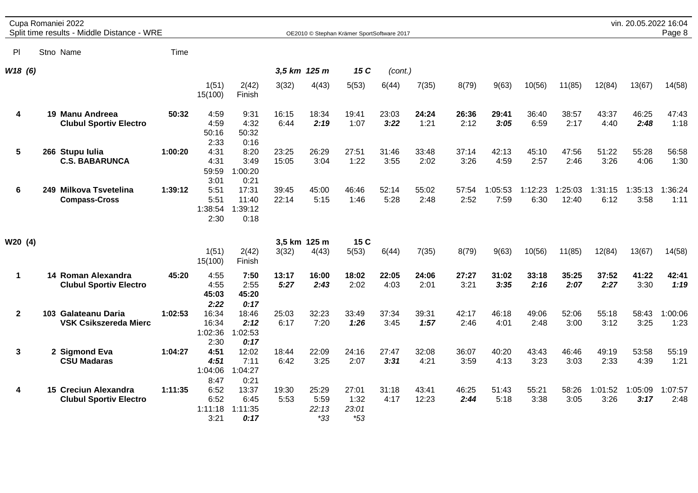|                         | Cupa Romaniei 2022<br>Split time results - Middle Distance - WRE |         |                                   |                                  |                |                                 | OE2010 © Stephan Krämer SportSoftware 2017 |               |                |               |                 |                 |                  |                 | vin. 20.05.2022 16:04 | Page 8          |
|-------------------------|------------------------------------------------------------------|---------|-----------------------------------|----------------------------------|----------------|---------------------------------|--------------------------------------------|---------------|----------------|---------------|-----------------|-----------------|------------------|-----------------|-----------------------|-----------------|
| P                       | Stno Name                                                        | Time    |                                   |                                  |                |                                 |                                            |               |                |               |                 |                 |                  |                 |                       |                 |
| W18 (6)                 |                                                                  |         |                                   |                                  |                | 3.5 km 125 m                    | 15 C                                       | (cont.)       |                |               |                 |                 |                  |                 |                       |                 |
|                         |                                                                  |         | 1(51)<br>15(100)                  | 2(42)<br>Finish                  | 3(32)          | 4(43)                           | 5(53)                                      | 6(44)         | 7(35)          | 8(79)         | 9(63)           | 10(56)          | 11(85)           | 12(84)          | 13(67)                | 14(58)          |
| 4                       | 19 Manu Andreea<br><b>Clubul Sportiv Electro</b>                 | 50:32   | 4:59<br>4:59<br>50:16<br>2:33     | 9:31<br>4:32<br>50:32<br>0:16    | 16:15<br>6:44  | 18:34<br>2:19                   | 19:41<br>1:07                              | 23:03<br>3:22 | 24:24<br>1:21  | 26:36<br>2:12 | 29:41<br>3:05   | 36:40<br>6:59   | 38:57<br>2:17    | 43:37<br>4:40   | 46:25<br>2:48         | 47:43<br>1:18   |
| $\overline{\mathbf{5}}$ | 266 Stupu Iulia<br><b>C.S. BABARUNCA</b>                         | 1:00:20 | 4:31<br>4:31<br>59:59<br>3:01     | 8:20<br>3:49<br>:00:20<br>0:21   | 23:25<br>15:05 | 26:29<br>3:04                   | 27:51<br>1:22                              | 31:46<br>3:55 | 33:48<br>2:02  | 37:14<br>3:26 | 42:13<br>4:59   | 45:10<br>2:57   | 47:56<br>2:46    | 51:22<br>3:26   | 55:28<br>4:06         | 56:58<br>1:30   |
| 6                       | 249 Milkova Tsvetelina<br><b>Compass-Cross</b>                   | 1:39:12 | 5:51<br>5:51<br>1:38:54<br>2:30   | 17:31<br>11:40<br>:39:12<br>0:18 | 39:45<br>22:14 | 45:00<br>5:15                   | 46:46<br>1:46                              | 52:14<br>5:28 | 55:02<br>2:48  | 57:54<br>2:52 | 1:05:53<br>7:59 | 1:12:23<br>6:30 | 1:25:03<br>12:40 | 1:31:15<br>6:12 | 1:35:13<br>3:58       | 1:36:24<br>1:11 |
| W20 (4)                 |                                                                  |         | 1(51)<br>15(100)                  | 2(42)<br>Finish                  | 3(32)          | 3,5 km 125 m<br>4(43)           | 15 C<br>5(53)                              | 6(44)         | 7(35)          | 8(79)         | 9(63)           | 10(56)          | 11(85)           | 12(84)          | 13(67)                | 14(58)          |
| $\mathbf{1}$            | 14 Roman Alexandra<br><b>Clubul Sportiv Electro</b>              | 45:20   | 4:55<br>4:55<br>45:03<br>2:22     | 7:50<br>2:55<br>45:20<br>0:17    | 13:17<br>5:27  | 16:00<br>2:43                   | 18:02<br>2:02                              | 22:05<br>4:03 | 24:06<br>2:01  | 27:27<br>3:21 | 31:02<br>3:35   | 33:18<br>2:16   | 35:25<br>2:07    | 37:52<br>2:27   | 41:22<br>3:30         | 42:41<br>1:19   |
| $\mathbf{2}$            | 103 Galateanu Daria<br><b>VSK Csikszereda Mierc</b>              | 1:02:53 | 16:34<br>16:34<br>1:02:36<br>2:30 | 18:46<br>2:12<br>1:02:53<br>0:17 | 25:03<br>6:17  | 32:23<br>7:20                   | 33:49<br>1:26                              | 37:34<br>3:45 | 39:31<br>1:57  | 42:17<br>2:46 | 46:18<br>4:01   | 49:06<br>2:48   | 52:06<br>3:00    | 55:18<br>3:12   | 58:43<br>3:25         | 1:00:06<br>1:23 |
| 3                       | 2 Sigmond Eva<br><b>CSU Madaras</b>                              | 1:04:27 | 4:51<br>4:51<br>1:04:06<br>8:47   | 12:02<br>7:11<br>1:04:27<br>0:21 | 18:44<br>6:42  | 22:09<br>3:25                   | 24:16<br>2:07                              | 27:47<br>3:31 | 32:08<br>4:21  | 36:07<br>3:59 | 40:20<br>4:13   | 43:43<br>3:23   | 46:46<br>3:03    | 49:19<br>2:33   | 53:58<br>4:39         | 55:19<br>1:21   |
| 4                       | 15 Creciun Alexandra<br><b>Clubul Sportiv Electro</b>            | 1:11:35 | 6:52<br>6:52<br>1:11:18<br>3:21   | 13:37<br>6:45<br>1:11:35<br>0:17 | 19:30<br>5:53  | 25:29<br>5:59<br>22:13<br>$*33$ | 27:01<br>1:32<br>23:01<br>$*53$            | 31:18<br>4:17 | 43:41<br>12:23 | 46:25<br>2:44 | 51:43<br>5:18   | 55:21<br>3:38   | 58:26<br>3:05    | 1:01:52<br>3:26 | 1:05:09<br>3:17       | 1:07:57<br>2:48 |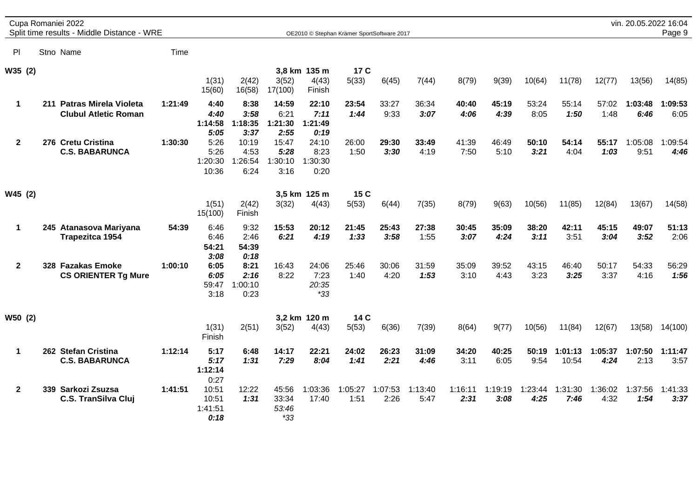|              | Cupa Romaniei 2022<br>Split time results - Middle Distance - WRE |         |                                   |                                  |                                  |                                  | OE2010 © Stephan Krämer SportSoftware 2017 |                 |                 |                 |                 |                 |                  |                 | vin. 20.05.2022 16:04 | Page 9          |
|--------------|------------------------------------------------------------------|---------|-----------------------------------|----------------------------------|----------------------------------|----------------------------------|--------------------------------------------|-----------------|-----------------|-----------------|-----------------|-----------------|------------------|-----------------|-----------------------|-----------------|
| PI           | Stno Name                                                        | Time    |                                   |                                  |                                  |                                  |                                            |                 |                 |                 |                 |                 |                  |                 |                       |                 |
| W35 (2)      |                                                                  |         | 1(31)<br>15(60)                   | 2(42)<br>16(58)                  | 3(52)<br>17(100)                 | 3,8 km 135 m<br>4(43)<br>Finish  | 17 C<br>5(33)                              | 6(45)           | 7(44)           | 8(79)           | 9(39)           | 10(64)          | 11(78)           | 12(77)          | 13(56)                | 14(85)          |
| $\mathbf 1$  | 211 Patras Mirela Violeta<br><b>Clubul Atletic Roman</b>         | 1:21:49 | 4:40<br>4:40<br>1:14:58<br>5:05   | 8:38<br>3:58<br>1:18:35<br>3:37  | 14:59<br>6:21<br>1:21:30<br>2:55 | 22:10<br>7:11<br>1:21:49<br>0:19 | 23:54<br>1:44                              | 33:27<br>9:33   | 36:34<br>3:07   | 40:40<br>4:06   | 45:19<br>4:39   | 53:24<br>8:05   | 55:14<br>1:50    | 57:02<br>1:48   | 1:03:48<br>6:46       | 1:09:53<br>6:05 |
| $\mathbf{2}$ | 276 Cretu Cristina<br><b>C.S. BABARUNCA</b>                      | 1:30:30 | 5:26<br>5:26<br>1:20:30<br>10:36  | 10:19<br>4:53<br>1:26:54<br>6:24 | 15:47<br>5:28<br>1:30:10<br>3:16 | 24:10<br>8:23<br>1:30:30<br>0:20 | 26:00<br>1:50                              | 29:30<br>3:30   | 33:49<br>4:19   | 41:39<br>7:50   | 46:49<br>5:10   | 50:10<br>3:21   | 54:14<br>4:04    | 55:17<br>1:03   | 1:05:08<br>9:51       | 1:09:54<br>4:46 |
| W45 (2)      |                                                                  |         | 1(51)<br>15(100)                  | 2(42)<br>Finish                  | 3(32)                            | 3,5 km 125 m<br>4(43)            | 15 C<br>5(53)                              | 6(44)           | 7(35)           | 8(79)           | 9(63)           | 10(56)          | 11(85)           | 12(84)          | 13(67)                | 14(58)          |
| $\mathbf{1}$ | 245 Atanasova Mariyana<br><b>Trapezitca 1954</b>                 | 54:39   | 6:46<br>6:46<br>54:21<br>3:08     | 9:32<br>2:46<br>54:39<br>0:18    | 15:53<br>6:21                    | 20:12<br>4:19                    | 21:45<br>1:33                              | 25:43<br>3:58   | 27:38<br>1:55   | 30:45<br>3:07   | 35:09<br>4:24   | 38:20<br>3:11   | 42:11<br>3:51    | 45:15<br>3:04   | 49:07<br>3:52         | 51:13<br>2:06   |
| $\mathbf{2}$ | 328 Fazakas Emoke<br><b>CS ORIENTER Tg Mure</b>                  | 1:00:10 | 6:05<br>6:05<br>59:47<br>3:18     | 8:21<br>2:16<br>1:00:10<br>0:23  | 16:43<br>8:22                    | 24:06<br>7:23<br>20:35<br>$*33$  | 25:46<br>1:40                              | 30:06<br>4:20   | 31:59<br>1:53   | 35:09<br>3:10   | 39:52<br>4:43   | 43:15<br>3:23   | 46:40<br>3:25    | 50:17<br>3:37   | 54:33<br>4:16         | 56:29<br>1:56   |
| W50 (2)      |                                                                  |         | 1(31)<br>Finish                   | 2(51)                            | 3(52)                            | 3,2 km 120 m<br>4(43)            | 14 C<br>5(53)                              | 6(36)           | 7(39)           | 8(64)           | 9(77)           | 10(56)          | 11(84)           | 12(67)          | 13(58)                | 14(100)         |
| $\mathbf 1$  | 262 Stefan Cristina<br><b>C.S. BABARUNCA</b>                     | 1:12:14 | 5:17<br>5:17<br>1:12:14<br>0:27   | 6:48<br>1:31                     | 14:17<br>7:29                    | 22:21<br>8:04                    | 24:02<br>1:41                              | 26:23<br>2:21   | 31:09<br>4:46   | 34:20<br>3:11   | 40:25<br>6:05   | 50:19<br>9:54   | 1:01:13<br>10:54 | 1:05:37<br>4:24 | 1:07:50<br>2:13       | 1:11:47<br>3:57 |
| $\mathbf{2}$ | 339 Sarkozi Zsuzsa<br><b>C.S. TranSilva Cluj</b>                 | 1:41:51 | 10:51<br>10:51<br>1:41:51<br>0:18 | 12:22<br>1:31                    | 45:56<br>33:34<br>53:46<br>$*33$ | 1:03:36<br>17:40                 | 1:05:27<br>1:51                            | 1:07:53<br>2:26 | 1:13:40<br>5:47 | 1:16:11<br>2:31 | 1:19:19<br>3:08 | 1:23:44<br>4:25 | 1:31:30<br>7:46  | 1:36:02<br>4:32 | 1:37:56<br>1:54       | 1:41:33<br>3:37 |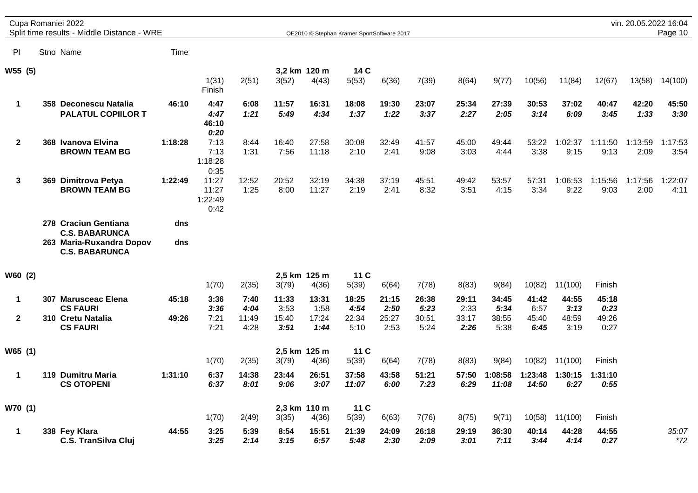|              | Cupa Romaniei 2022 | Split time results - Middle Distance - WRE                                                         |            |                                         |               |               |                       | OE2010 © Stephan Krämer SportSoftware 2017 |               |               |               |                  |                  |                 |                 | vin. 20.05.2022 16:04 | Page 10         |
|--------------|--------------------|----------------------------------------------------------------------------------------------------|------------|-----------------------------------------|---------------|---------------|-----------------------|--------------------------------------------|---------------|---------------|---------------|------------------|------------------|-----------------|-----------------|-----------------------|-----------------|
| PI.          | Stno Name          |                                                                                                    | Time       |                                         |               |               |                       |                                            |               |               |               |                  |                  |                 |                 |                       |                 |
| W55 (5)      |                    |                                                                                                    |            | 1(31)                                   | 2(51)         | 3(52)         | 3,2 km 120 m<br>4(43) | 14 C<br>5(53)                              | 6(36)         | 7(39)         | 8(64)         | 9(77)            | 10(56)           | 11(84)          | 12(67)          | 13(58)                | 14(100)         |
| 1            |                    | 358 Deconescu Natalia<br><b>PALATUL COPIILOR T</b>                                                 | 46:10      | Finish<br>4:47<br>4:47<br>46:10<br>0:20 | 6:08<br>1:21  | 11:57<br>5:49 | 16:31<br>4:34         | 18:08<br>1:37                              | 19:30<br>1:22 | 23:07<br>3:37 | 25:34<br>2:27 | 27:39<br>2:05    | 30:53<br>3:14    | 37:02<br>6:09   | 40:47<br>3:45   | 42:20<br>1:33         | 45:50<br>3:30   |
| $\mathbf{2}$ |                    | 368 Ivanova Elvina<br><b>BROWN TEAM BG</b>                                                         | 1:18:28    | 7:13<br>7:13<br>1:18:28<br>0:35         | 8:44<br>1:31  | 16:40<br>7:56 | 27:58<br>11:18        | 30:08<br>2:10                              | 32:49<br>2:41 | 41:57<br>9:08 | 45:00<br>3:03 | 49:44<br>4:44    | 53:22<br>3:38    | 1:02:37<br>9:15 | 1:11:50<br>9:13 | 1:13:59<br>2:09       | 1:17:53<br>3:54 |
| 3            | 369                | Dimitrova Petya<br><b>BROWN TEAM BG</b>                                                            | 1:22:49    | 11:27<br>11:27<br>1:22:49<br>0:42       | 12:52<br>1:25 | 20:52<br>8:00 | 32:19<br>11:27        | 34:38<br>2:19                              | 37:19<br>2:41 | 45:51<br>8:32 | 49:42<br>3:51 | 53:57<br>4:15    | 57:31<br>3:34    | 1:06:53<br>9:22 | 1:15:56<br>9:03 | 1:17:56<br>2:00       | 1:22:07<br>4:11 |
|              |                    | 278 Craciun Gentiana<br><b>C.S. BABARUNCA</b><br>263 Maria-Ruxandra Dopov<br><b>C.S. BABARUNCA</b> | dns<br>dns |                                         |               |               |                       |                                            |               |               |               |                  |                  |                 |                 |                       |                 |
| W60 (2)      |                    |                                                                                                    |            | 1(70)                                   | 2(35)         | 3(79)         | 2,5 km 125 m<br>4(36) | 11 C<br>5(39)                              | 6(64)         | 7(78)         | 8(83)         | 9(84)            | 10(82)           | 11(100)         | Finish          |                       |                 |
| 1            |                    | 307 Marusceac Elena<br><b>CS FAURI</b>                                                             | 45:18      | 3:36<br>3:36                            | 7:40<br>4:04  | 11:33<br>3:53 | 13:31<br>1:58         | 18:25<br>4:54                              | 21:15<br>2:50 | 26:38<br>5:23 | 29:11<br>2:33 | 34:45<br>5:34    | 41:42<br>6:57    | 44:55<br>3:13   | 45:18<br>0:23   |                       |                 |
| $\mathbf{2}$ |                    | 310 Cretu Natalia<br><b>CS FAURI</b>                                                               | 49:26      | 7:21<br>7:21                            | 11:49<br>4:28 | 15:40<br>3:51 | 17:24<br>1:44         | 22:34<br>5:10                              | 25:27<br>2:53 | 30:51<br>5:24 | 33:17<br>2:26 | 38:55<br>5:38    | 45:40<br>6:45    | 48:59<br>3:19   | 49:26<br>0:27   |                       |                 |
| W65 (1)      |                    |                                                                                                    |            | 1(70)                                   | 2(35)         | 3(79)         | 2,5 km 125 m<br>4(36) | 11 C<br>5(39)                              | 6(64)         | 7(78)         | 8(83)         | 9(84)            | 10(82)           | 11(100)         | Finish          |                       |                 |
| 1            |                    | 119 Dumitru Maria<br><b>CS OTOPENI</b>                                                             | 1:31:10    | 6:37<br>6:37                            | 14:38<br>8:01 | 23:44<br>9:06 | 26:51<br>3:07         | 37:58<br>11:07                             | 43:58<br>6:00 | 51:21<br>7:23 | 57:50<br>6:29 | 1:08:58<br>11:08 | 1:23:48<br>14:50 | 1:30:15<br>6:27 | 1:31:10<br>0:55 |                       |                 |
| W70 (1)      |                    |                                                                                                    |            | 1(70)                                   | 2(49)         | 3(35)         | 2,3 km 110 m<br>4(36) | 11 C<br>5(39)                              | 6(63)         | 7(76)         | 8(75)         | 9(71)            | 10(58)           | 11(100)         | Finish          |                       |                 |
| $\mathbf 1$  |                    | 338 Fey Klara<br><b>C.S. TranSilva Cluj</b>                                                        | 44:55      | 3:25<br>3:25                            | 5:39<br>2:14  | 8:54<br>3:15  | 15:51<br>6:57         | 21:39<br>5:48                              | 24:09<br>2:30 | 26:18<br>2:09 | 29:19<br>3:01 | 36:30<br>7:11    | 40:14<br>3:44    | 44:28<br>4:14   | 44:55<br>0:27   |                       | 35:07<br>$*72$  |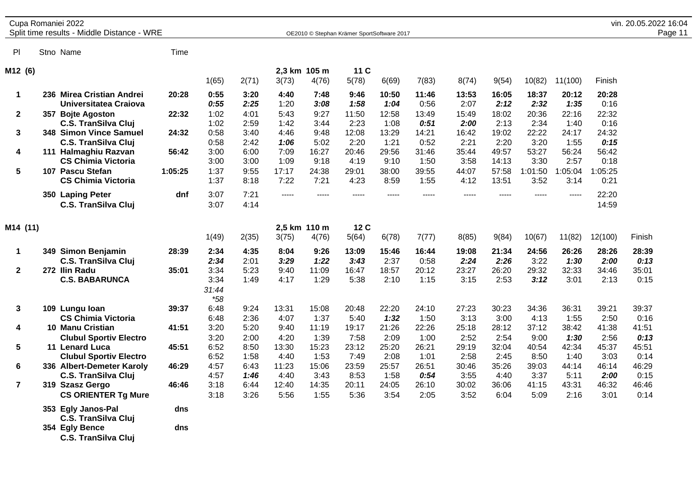|                         | Cupa Romaniei 2022<br>Split time results - Middle Distance - WRE |         |                                |              |               | OE2010 © Stephan Krämer SportSoftware 2017 |               |               |               |               |                |                 |                 |                 | vin. 20.05.2022 16:04<br>Page 11 |
|-------------------------|------------------------------------------------------------------|---------|--------------------------------|--------------|---------------|--------------------------------------------|---------------|---------------|---------------|---------------|----------------|-----------------|-----------------|-----------------|----------------------------------|
|                         |                                                                  |         |                                |              |               |                                            |               |               |               |               |                |                 |                 |                 |                                  |
| PI                      | Stno Name                                                        | Time    |                                |              |               |                                            |               |               |               |               |                |                 |                 |                 |                                  |
| M12 (6)                 |                                                                  |         |                                |              |               | 2,3 km 105 m                               | 11 C          |               |               |               |                |                 |                 |                 |                                  |
|                         |                                                                  |         | 1(65)                          | 2(71)        | 3(73)         | 4(76)                                      | 5(78)         | 6(69)         | 7(83)         | 8(74)         | 9(54)          | 10(82)          | 11(100)         | Finish          |                                  |
| 1                       | 236 Mirea Cristian Andrei<br>Universitatea Craiova               | 20:28   | 0:55<br>0:55                   | 3:20<br>2:25 | 4:40<br>1:20  | 7:48<br>3:08                               | 9:46<br>1:58  | 10:50<br>1:04 | 11:46<br>0:56 | 13:53<br>2:07 | 16:05<br>2:12  | 18:37<br>2:32   | 20:12<br>1:35   | 20:28<br>0:16   |                                  |
| $\mathbf{2}$            | 357 Bojte Agoston<br><b>C.S. TranSilva Cluj</b>                  | 22:32   | 1:02<br>1:02                   | 4:01<br>2:59 | 5:43<br>1:42  | 9:27<br>3:44                               | 11:50<br>2:23 | 12:58<br>1:08 | 13:49<br>0:51 | 15:49<br>2:00 | 18:02<br>2:13  | 20:36<br>2:34   | 22:16<br>1:40   | 22:32<br>0:16   |                                  |
| 3                       | 348 Simon Vince Samuel<br><b>C.S. TranSilva Cluj</b>             | 24:32   | 0:58<br>0:58                   | 3:40<br>2:42 | 4:46<br>1:06  | 9:48<br>5:02                               | 12:08<br>2:20 | 13:29<br>1:21 | 14:21<br>0:52 | 16:42<br>2:21 | 19:02<br>2:20  | 22:22<br>3:20   | 24:17<br>1:55   | 24:32<br>0:15   |                                  |
| 4                       | 111 Halmaghiu Razvan<br><b>CS Chimia Victoria</b>                | 56:42   | 3:00<br>3:00                   | 6:00<br>3:00 | 7:09<br>1:09  | 16:27<br>9:18                              | 20:46<br>4:19 | 29:56<br>9:10 | 31:46<br>1:50 | 35:44<br>3:58 | 49:57<br>14:13 | 53:27<br>3:30   | 56:24<br>2:57   | 56:42<br>0:18   |                                  |
| 5                       | 107 Pascu Stefan<br><b>CS Chimia Victoria</b>                    | 1:05:25 | 1:37<br>1:37                   | 9:55<br>8:18 | 17:17<br>7:22 | 24:38<br>7:21                              | 29:01<br>4:23 | 38:00<br>8:59 | 39:55<br>1:55 | 44:07<br>4:12 | 57:58<br>13:51 | 1:01:50<br>3:52 | 1:05:04<br>3:14 | 1:05:25<br>0:21 |                                  |
|                         | 350 Laping Peter<br><b>C.S. TranSilva Cluj</b>                   | dnf     | 3:07<br>3:07                   | 7:21<br>4:14 | $---$         | $\frac{1}{2}$                              | -----         | $- - - - -$   | $- - - - -$   | $- - - - -$   | $- - - - -$    | $- - - - -$     | -----           | 22:20<br>14:59  |                                  |
| M14 (11)                |                                                                  |         | 1(49)                          | 2(35)        | 3(75)         | 2,5 km 110 m<br>4(76)                      | 12 C<br>5(64) | 6(78)         | 7(77)         | 8(85)         | 9(84)          | 10(67)          | 11(82)          | 12(100)         | Finish                           |
|                         |                                                                  |         | 2:34                           | 4:35         | 8:04          | 9:26                                       | 13:09         | 15:46         |               |               | 21:34          | 24:56           |                 |                 | 28:39                            |
| $\mathbf 1$             | 349 Simon Benjamin<br><b>C.S. TranSilva Cluj</b>                 | 28:39   | 2:34                           | 2:01         | 3:29          | 1:22                                       | 3:43          | 2:37          | 16:44<br>0:58 | 19:08<br>2:24 | 2:26           | 3:22            | 26:26<br>1:30   | 28:26<br>2:00   | 0:13                             |
| $\mathbf{2}$            | 272 Ilin Radu<br><b>C.S. BABARUNCA</b>                           | 35:01   | 3:34<br>3:34<br>31:44<br>$*58$ | 5:23<br>1:49 | 9:40<br>4:17  | 11:09<br>1:29                              | 16:47<br>5:38 | 18:57<br>2:10 | 20:12<br>1:15 | 23:27<br>3:15 | 26:20<br>2:53  | 29:32<br>3:12   | 32:33<br>3:01   | 34:46<br>2:13   | 35:01<br>0:15                    |
| 3                       | 109 Lungu Ioan<br><b>CS Chimia Victoria</b>                      | 39:37   | 6:48<br>6:48                   | 9:24<br>2:36 | 13:31<br>4:07 | 15:08<br>1:37                              | 20:48<br>5:40 | 22:20<br>1:32 | 24:10<br>1:50 | 27:23<br>3:13 | 30:23<br>3:00  | 34:36<br>4:13   | 36:31<br>1:55   | 39:21<br>2:50   | 39:37<br>0:16                    |
| 4                       | <b>10 Manu Cristian</b><br><b>Clubul Sportiv Electro</b>         | 41:51   | 3:20<br>3:20                   | 5:20<br>2:00 | 9:40<br>4:20  | 11:19<br>1:39                              | 19:17<br>7:58 | 21:26<br>2:09 | 22:26<br>1:00 | 25:18<br>2:52 | 28:12<br>2:54  | 37:12<br>9:00   | 38:42<br>1:30   | 41:38<br>2:56   | 41:51<br>0:13                    |
| 5                       | 11 Lenard Luca<br><b>Clubul Sportiv Electro</b>                  | 45:51   | 6:52<br>6:52                   | 8:50<br>1:58 | 13:30<br>4:40 | 15:23<br>1:53                              | 23:12<br>7:49 | 25:20<br>2:08 | 26:21<br>1:01 | 29:19<br>2:58 | 32:04<br>2:45  | 40:54<br>8:50   | 42:34<br>1:40   | 45:37<br>3:03   | 45:51<br>0:14                    |
| 6                       | 336 Albert-Demeter Karoly<br><b>C.S. TranSilva Cluj</b>          | 46:29   | 4:57<br>4:57                   | 6:43<br>1:46 | 11:23<br>4:40 | 15:06<br>3:43                              | 23:59<br>8:53 | 25:57<br>1:58 | 26:51<br>0:54 | 30:46<br>3:55 | 35:26<br>4:40  | 39:03<br>3:37   | 44:14<br>5:11   | 46:14<br>2:00   | 46:29<br>0:15                    |
| $\overline{\mathbf{r}}$ | 319 Szasz Gergo<br><b>CS ORIENTER Tg Mure</b>                    | 46:46   | 3:18<br>3:18                   | 6:44<br>3:26 | 12:40<br>5:56 | 14:35<br>1:55                              | 20:11<br>5:36 | 24:05<br>3:54 | 26:10<br>2:05 | 30:02<br>3:52 | 36:06<br>6:04  | 41:15<br>5:09   | 43:31<br>2:16   | 46:32<br>3:01   | 46:46<br>0:14                    |
|                         | 353 Egly Janos-Pal<br><b>C.S. TranSilva Cluj</b>                 | dns     |                                |              |               |                                            |               |               |               |               |                |                 |                 |                 |                                  |
|                         | 354 Egly Bence<br><b>C.S. TranSilva Cluj</b>                     | dns     |                                |              |               |                                            |               |               |               |               |                |                 |                 |                 |                                  |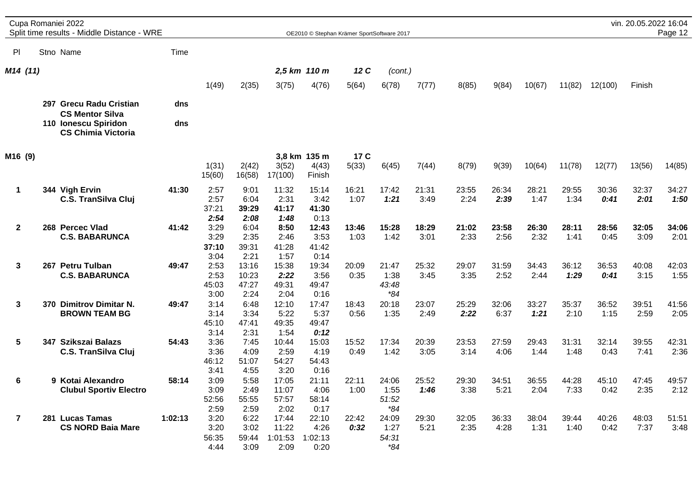|                | Cupa Romaniei 2022<br>Split time results - Middle Distance - WRE |         |                                       |                                       |                                           | OE2010 © Stephan Krämer SportSoftware 2017 |               |                                                |               |               |               |               |               |               | vin. 20.05.2022 16:04 | Page 12       |
|----------------|------------------------------------------------------------------|---------|---------------------------------------|---------------------------------------|-------------------------------------------|--------------------------------------------|---------------|------------------------------------------------|---------------|---------------|---------------|---------------|---------------|---------------|-----------------------|---------------|
| PI.            | Stno Name                                                        | Time    |                                       |                                       |                                           |                                            |               |                                                |               |               |               |               |               |               |                       |               |
| M14 (11)       |                                                                  |         |                                       |                                       |                                           | 2,5 km 110 m                               | 12 C          | (cont.)                                        |               |               |               |               |               |               |                       |               |
|                |                                                                  |         | 1(49)                                 | 2(35)                                 | 3(75)                                     | 4(76)                                      | 5(64)         | 6(78)                                          | 7(77)         | 8(85)         | 9(84)         | 10(67)        | 11(82)        | 12(100)       | Finish                |               |
|                | 297 Grecu Radu Cristian<br><b>CS Mentor Silva</b>                | dns     |                                       |                                       |                                           |                                            |               |                                                |               |               |               |               |               |               |                       |               |
|                | 110 Ionescu Spiridon<br><b>CS Chimia Victoria</b>                | dns     |                                       |                                       |                                           |                                            |               |                                                |               |               |               |               |               |               |                       |               |
| M16 (9)        |                                                                  |         |                                       |                                       |                                           | 3,8 km 135 m                               | 17 C          |                                                |               |               |               |               |               |               |                       |               |
|                |                                                                  |         | 1(31)<br>15(60)                       | 2(42)<br>16(58)                       | 3(52)<br>17(100)                          | 4(43)<br>Finish                            | 5(33)         | 6(45)                                          | 7(44)         | 8(79)         | 9(39)         | 10(64)        | 11(78)        | 12(77)        | 13(56)                | 14(85)        |
| 1              | 344 Vigh Ervin<br><b>C.S. TranSilva Cluj</b>                     | 41:30   | 2:57<br>2:57<br>37:21                 | 9:01<br>6:04<br>39:29                 | 11:32<br>2:31<br>41:17<br>1:48            | 15:14<br>3:42<br>41:30                     | 16:21<br>1:07 | 17:42<br>1:21                                  | 21:31<br>3:49 | 23:55<br>2:24 | 26:34<br>2:39 | 28:21<br>1:47 | 29:55<br>1:34 | 30:36<br>0:41 | 32:37<br>2:01         | 34:27<br>1:50 |
| $\mathbf{2}$   | 268 Percec Vlad<br><b>C.S. BABARUNCA</b>                         | 41:42   | 2:54<br>3:29<br>3:29<br>37:10         | 2:08<br>6:04<br>2:35<br>39:31         | 8:50<br>2:46<br>41:28                     | 0:13<br>12:43<br>3:53<br>41:42             | 13:46<br>1:03 | 15:28<br>1:42                                  | 18:29<br>3:01 | 21:02<br>2:33 | 23:58<br>2:56 | 26:30<br>2:32 | 28:11<br>1:41 | 28:56<br>0:45 | 32:05<br>3:09         | 34:06<br>2:01 |
| 3              | 267 Petru Tulban<br><b>C.S. BABARUNCA</b>                        | 49:47   | 3:04<br>2:53<br>2:53<br>45:03         | 2:21<br>13:16<br>10:23<br>47:27       | 1:57<br>15:38<br>2:22<br>49:31            | 0:14<br>19:34<br>3:56<br>49:47             | 20:09<br>0:35 | 21:47<br>1:38<br>43:48<br>$*84$                | 25:32<br>3:45 | 29:07<br>3:35 | 31:59<br>2:52 | 34:43<br>2:44 | 36:12<br>1:29 | 36:53<br>0:41 | 40:08<br>3:15         | 42:03<br>1:55 |
| 3              | 370 Dimitrov Dimitar N.<br><b>BROWN TEAM BG</b>                  | 49:47   | 3:00<br>3:14<br>3:14<br>45:10         | 2:24<br>6:48<br>3:34<br>47:41         | 2:04<br>12:10<br>5:22<br>49:35            | 0:16<br>17:47<br>5:37<br>49:47             | 18:43<br>0:56 | 20:18<br>1:35                                  | 23:07<br>2:49 | 25:29<br>2:22 | 32:06<br>6:37 | 33:27<br>1:21 | 35:37<br>2:10 | 36:52<br>1:15 | 39:51<br>2:59         | 41:56<br>2:05 |
| 5              | 347 Szikszai Balazs<br><b>C.S. TranSilva Cluj</b>                | 54:43   | 3:14<br>3:36<br>3:36<br>46:12         | 2:31<br>7:45<br>4:09<br>51:07         | 1:54<br>10:44<br>2:59<br>54:27            | 0:12<br>15:03<br>4:19<br>54:43             | 15:52<br>0:49 | 17:34<br>1:42                                  | 20:39<br>3:05 | 23:53<br>3:14 | 27:59<br>4:06 | 29:43<br>1:44 | 31:31<br>1:48 | 32:14<br>0:43 | 39:55<br>7:41         | 42:31<br>2:36 |
| 6              | 9 Kotai Alexandro<br><b>Clubul Sportiv Electro</b>               | 58:14   | 3:41<br>3:09<br>3:09<br>52:56         | 4:55<br>5:58<br>2:49<br>55:55         | 3:20<br>17:05<br>11:07<br>57:57           | 0:16<br>21:11<br>4:06<br>58:14             | 22:11<br>1:00 | 24:06<br>1:55<br>51:52                         | 25:52<br>1:46 | 29:30<br>3:38 | 34:51<br>5:21 | 36:55<br>2:04 | 44:28<br>7:33 | 45:10<br>0:42 | 47:45<br>2:35         | 49:57<br>2:12 |
| $\overline{7}$ | 281 Lucas Tamas<br><b>CS NORD Baia Mare</b>                      | 1:02:13 | 2:59<br>3:20<br>3:20<br>56:35<br>4:44 | 2:59<br>6:22<br>3:02<br>59:44<br>3:09 | 2:02<br>17:44<br>11:22<br>1:01:53<br>2:09 | 0:17<br>22:10<br>4:26<br>1:02:13<br>0:20   | 22:42<br>0:32 | $^{\ast}84$<br>24:09<br>1:27<br>54:31<br>$*84$ | 29:30<br>5:21 | 32:05<br>2:35 | 36:33<br>4:28 | 38:04<br>1:31 | 39:44<br>1:40 | 40:26<br>0:42 | 48:03<br>7:37         | 51:51<br>3:48 |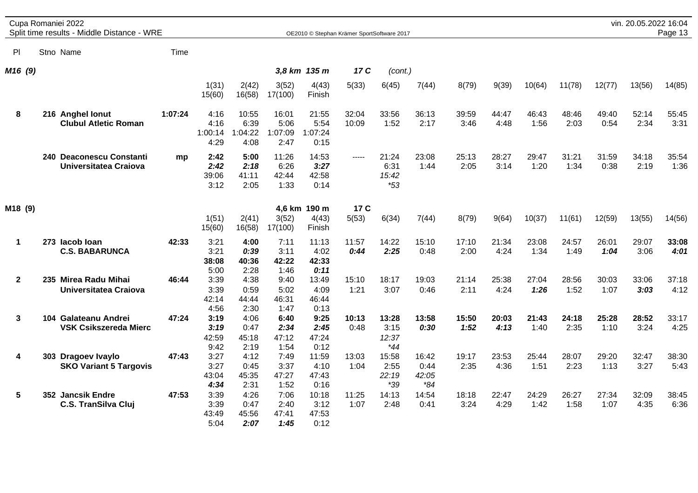|                     |  | Cupa Romaniei 2022<br>Split time results - Middle Distance - WRE |         |                                 |                                  |                                  | OE2010 © Stephan Krämer SportSoftware 2017 |                |                                 |                                 |               |               |               |               |               | vin. 20.05.2022 16:04 | Page 13       |
|---------------------|--|------------------------------------------------------------------|---------|---------------------------------|----------------------------------|----------------------------------|--------------------------------------------|----------------|---------------------------------|---------------------------------|---------------|---------------|---------------|---------------|---------------|-----------------------|---------------|
| PI                  |  | Stno Name                                                        | Time    |                                 |                                  |                                  |                                            |                |                                 |                                 |               |               |               |               |               |                       |               |
| M <sub>16</sub> (9) |  |                                                                  |         |                                 |                                  |                                  | 3,8 km 135 m                               | 17 C           | (cont.)                         |                                 |               |               |               |               |               |                       |               |
|                     |  |                                                                  |         | 1(31)<br>15(60)                 | 2(42)<br>16(58)                  | 3(52)<br>17(100)                 | 4(43)<br>Finish                            | 5(33)          | 6(45)                           | 7(44)                           | 8(79)         | 9(39)         | 10(64)        | 11(78)        | 12(77)        | 13(56)                | 14(85)        |
| 8                   |  | 216 Anghel lonut<br><b>Clubul Atletic Roman</b>                  | 1:07:24 | 4:16<br>4:16<br>1:00:14<br>4:29 | 10:55<br>6:39<br>1:04:22<br>4:08 | 16:01<br>5:06<br>1:07:09<br>2:47 | 21:55<br>5:54<br>1:07:24<br>0:15           | 32:04<br>10:09 | 33:56<br>1:52                   | 36:13<br>2:17                   | 39:59<br>3:46 | 44:47<br>4:48 | 46:43<br>1:56 | 48:46<br>2:03 | 49:40<br>0:54 | 52:14<br>2:34         | 55:45<br>3:31 |
|                     |  | 240 Deaconescu Constanti<br>Universitatea Craiova                | mp      | 2:42<br>2:42<br>39:06<br>3:12   | 5:00<br>2:18<br>41:11<br>2:05    | 11:26<br>6:26<br>42:44<br>1:33   | 14:53<br>3:27<br>42:58<br>0:14             | $- - - - -$    | 21:24<br>6:31<br>15:42<br>$*53$ | 23:08<br>1:44                   | 25:13<br>2:05 | 28:27<br>3:14 | 29:47<br>1:20 | 31:21<br>1:34 | 31:59<br>0:38 | 34:18<br>2:19         | 35:54<br>1:36 |
| M18 (9)             |  |                                                                  |         |                                 |                                  |                                  | 4,6 km 190 m                               | 17 C           |                                 |                                 |               |               |               |               |               |                       |               |
|                     |  |                                                                  |         | 1(51)<br>15(60)                 | 2(41)<br>16(58)                  | 3(52)<br>17(100)                 | 4(43)<br>Finish                            | 5(53)          | 6(34)                           | 7(44)                           | 8(79)         | 9(64)         | 10(37)        | 11(61)        | 12(59)        | 13(55)                | 14(56)        |
| $\mathbf 1$         |  | 273 lacob loan<br><b>C.S. BABARUNCA</b>                          | 42:33   | 3:21<br>3:21<br>38:08<br>5:00   | 4:00<br>0:39<br>40:36<br>2:28    | 7:11<br>3:11<br>42:22<br>1:46    | 11:13<br>4:02<br>42:33<br>0:11             | 11:57<br>0:44  | 14:22<br>2:25                   | 15:10<br>0:48                   | 17:10<br>2:00 | 21:34<br>4:24 | 23:08<br>1:34 | 24:57<br>1:49 | 26:01<br>1:04 | 29:07<br>3:06         | 33:08<br>4:01 |
| $\mathbf{2}$        |  | 235 Mirea Radu Mihai<br>Universitatea Craiova                    | 46:44   | 3:39<br>3:39<br>42:14<br>4:56   | 4:38<br>0:59<br>44:44<br>2:30    | 9:40<br>5:02<br>46:31<br>1:47    | 13:49<br>4:09<br>46:44<br>0:13             | 15:10<br>1:21  | 18:17<br>3:07                   | 19:03<br>0:46                   | 21:14<br>2:11 | 25:38<br>4:24 | 27:04<br>1:26 | 28:56<br>1:52 | 30:03<br>1:07 | 33:06<br>3:03         | 37:18<br>4:12 |
| $\mathbf{3}$        |  | 104 Galateanu Andrei<br>VSK Csikszereda Mierc                    | 47:24   | 3:19<br>3:19<br>42:59<br>9:42   | 4:06<br>0:47<br>45:18<br>2:19    | 6:40<br>2:34<br>47:12<br>1:54    | 9:25<br>2:45<br>47:24<br>0:12              | 10:13<br>0:48  | 13:28<br>3:15<br>12:37<br>$*44$ | 13:58<br>0:30                   | 15:50<br>1:52 | 20:03<br>4:13 | 21:43<br>1:40 | 24:18<br>2:35 | 25:28<br>1:10 | 28:52<br>3:24         | 33:17<br>4:25 |
| 4                   |  | 303 Dragoev Ivaylo<br><b>SKO Variant 5 Targovis</b>              | 47:43   | 3:27<br>3:27<br>43:04<br>4:34   | 4:12<br>0:45<br>45:35<br>2:31    | 7:49<br>3:37<br>47:27<br>1:52    | 11:59<br>4:10<br>47:43<br>0:16             | 13:03<br>1:04  | 15:58<br>2:55<br>22:19<br>*39   | 16:42<br>0:44<br>42:05<br>$*84$ | 19:17<br>2:35 | 23:53<br>4:36 | 25:44<br>1:51 | 28:07<br>2:23 | 29:20<br>1:13 | 32:47<br>3:27         | 38:30<br>5:43 |
| 5                   |  | 352 Jancsik Endre<br><b>C.S. TranSilva Cluj</b>                  | 47:53   | 3:39<br>3:39<br>43:49<br>5:04   | 4:26<br>0:47<br>45:56<br>2:07    | 7:06<br>2:40<br>47:41<br>1:45    | 10:18<br>3:12<br>47:53<br>0:12             | 11:25<br>1:07  | 14:13<br>2:48                   | 14:54<br>0:41                   | 18:18<br>3:24 | 22:47<br>4:29 | 24:29<br>1:42 | 26:27<br>1:58 | 27:34<br>1:07 | 32:09<br>4:35         | 38:45<br>6:36 |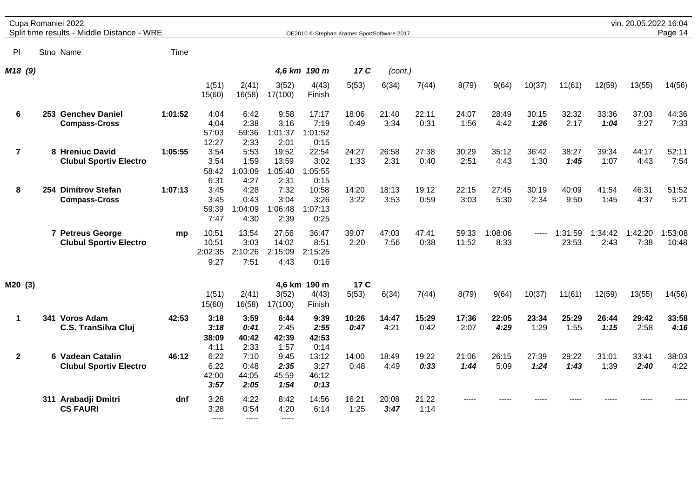|                | Cupa Romaniei 2022<br>Split time results - Middle Distance - WRE |         |                                   |                                  |                                   | OE2010 © Stephan Krämer SportSoftware 2017 |               |               |               |                |                 |               |                  |                 | vin. 20.05.2022 16:04 | Page 14          |
|----------------|------------------------------------------------------------------|---------|-----------------------------------|----------------------------------|-----------------------------------|--------------------------------------------|---------------|---------------|---------------|----------------|-----------------|---------------|------------------|-----------------|-----------------------|------------------|
| ΡI             | Stno Name                                                        | Time    |                                   |                                  |                                   |                                            |               |               |               |                |                 |               |                  |                 |                       |                  |
| M18 (9)        |                                                                  |         |                                   |                                  |                                   | 4,6 km 190 m                               | 17 C          | (cont.)       |               |                |                 |               |                  |                 |                       |                  |
|                |                                                                  |         | 1(51)<br>15(60)                   | 2(41)<br>16(58)                  | 3(52)<br>17(100)                  | 4(43)<br>Finish                            | 5(53)         | 6(34)         | 7(44)         | 8(79)          | 9(64)           | 10(37)        | 11(61)           | 12(59)          | 13(55)                | 14(56)           |
| 6              | 253 Genchev Daniel<br><b>Compass-Cross</b>                       | 1:01:52 | 4:04<br>4:04<br>57:03<br>12:27    | 6:42<br>2:38<br>59:36<br>2:33    | 9:58<br>3:16<br>1:01:37<br>2:01   | 17:17<br>7:19<br>1:01:52<br>0:15           | 18:06<br>0:49 | 21:40<br>3:34 | 22:11<br>0:31 | 24:07<br>1:56  | 28:49<br>4:42   | 30:15<br>1:26 | 32:32<br>2:17    | 33:36<br>1:04   | 37:03<br>3:27         | 44:36<br>7:33    |
| $\overline{7}$ | 8 Hreniuc David<br><b>Clubul Sportiv Electro</b>                 | 1:05:55 | 3:54<br>3:54<br>58:42<br>6:31     | 5:53<br>1:59<br>1:03:09<br>4:27  | 19:52<br>13:59<br>1:05:40<br>2:31 | 22:54<br>3:02<br>1:05:55<br>0:15           | 24:27<br>1:33 | 26:58<br>2:31 | 27:38<br>0:40 | 30:29<br>2:51  | 35:12<br>4:43   | 36:42<br>1:30 | 38:27<br>1:45    | 39:34<br>1:07   | 44:17<br>4:43         | 52:11<br>7:54    |
| 8              | 254 Dimitrov Stefan<br><b>Compass-Cross</b>                      | 1:07:13 | 3:45<br>3:45<br>59:39<br>7:47     | 4:28<br>0:43<br>1:04:09<br>4:30  | 7:32<br>3:04<br>1:06:48<br>2:39   | 10:58<br>3:26<br>1:07:13<br>0:25           | 14:20<br>3:22 | 18:13<br>3:53 | 19:12<br>0:59 | 22:15<br>3:03  | 27:45<br>5:30   | 30:19<br>2:34 | 40:09<br>9:50    | 41:54<br>1:45   | 46:31<br>4:37         | 51:52<br>5:21    |
|                | 7 Petreus George<br><b>Clubul Sportiv Electro</b>                | mp      | 10:51<br>10:51<br>2:02:35<br>9:27 | 13:54<br>3:03<br>2:10:26<br>7:51 | 27:56<br>14:02<br>2:15:09<br>4:43 | 36:47<br>8:51<br>2:15:25<br>0:16           | 39:07<br>2:20 | 47:03<br>7:56 | 47:41<br>0:38 | 59:33<br>11:52 | 1:08:06<br>8:33 | -----         | 1:31:59<br>23:53 | 1:34:42<br>2:43 | 1:42:20<br>7:38       | 1:53:08<br>10:48 |
| M20 (3)        |                                                                  |         | 1(51)<br>15(60)                   | 2(41)<br>16(58)                  | 3(52)<br>17(100)                  | 4,6 km 190 m<br>4(43)<br>Finish            | 17 C<br>5(53) | 6(34)         | 7(44)         | 8(79)          | 9(64)           | 10(37)        | 11(61)           | 12(59)          | 13(55)                | 14(56)           |
| $\mathbf 1$    | 341 Voros Adam<br><b>C.S. TranSilva Cluj</b>                     | 42:53   | 3:18<br>3:18<br>38:09<br>4:11     | 3:59<br>0:41<br>40:42<br>2:33    | 6:44<br>2:45<br>42:39<br>1:57     | 9:39<br>2:55<br>42:53<br>0:14              | 10:26<br>0:47 | 14:47<br>4:21 | 15:29<br>0:42 | 17:36<br>2:07  | 22:05<br>4:29   | 23:34<br>1:29 | 25:29<br>1:55    | 26:44<br>1:15   | 29:42<br>2:58         | 33:58<br>4:16    |
| $\mathbf{2}$   | 6 Vadean Catalin<br><b>Clubul Sportiv Electro</b>                | 46:12   | 6:22<br>6:22<br>42:00<br>3:57     | 7:10<br>0:48<br>44:05<br>2:05    | 9:45<br>2:35<br>45:59<br>1:54     | 13:12<br>3:27<br>46:12<br>0:13             | 14:00<br>0:48 | 18:49<br>4:49 | 19:22<br>0:33 | 21:06<br>1:44  | 26:15<br>5:09   | 27:39<br>1:24 | 29:22<br>1:43    | 31:01<br>1:39   | 33:41<br>2:40         | 38:03<br>4:22    |
|                | 311 Arabadji Dmitri<br><b>CS FAURI</b>                           | dnf     | 3:28<br>3:28<br>$- - - - -$       | 4:22<br>0:54<br>$\frac{1}{2}$    | 8:42<br>4:20<br>$\frac{1}{2}$     | 14:56<br>6:14                              | 16:21<br>1:25 | 20:08<br>3:47 | 21:22<br>1:14 | ----           |                 |               |                  |                 |                       |                  |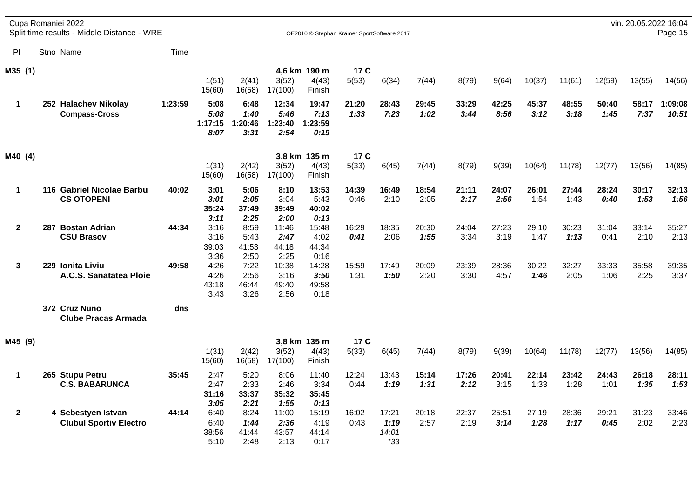|                |  | Cupa Romaniei 2022<br>Split time results - Middle Distance - WRE |         |                                 |                                 |                                  | OE2010 © Stephan Krämer SportSoftware 2017 |               |                                 |               |               |               |               |               |               | vin. 20.05.2022 16:04 | Page 15          |
|----------------|--|------------------------------------------------------------------|---------|---------------------------------|---------------------------------|----------------------------------|--------------------------------------------|---------------|---------------------------------|---------------|---------------|---------------|---------------|---------------|---------------|-----------------------|------------------|
| P              |  | Stno Name                                                        | Time    |                                 |                                 |                                  |                                            |               |                                 |               |               |               |               |               |               |                       |                  |
| M35 (1)        |  |                                                                  |         | 1(51)<br>15(60)                 | 2(41)<br>16(58)                 | 3(52)<br>17(100)                 | 4,6 km 190 m<br>4(43)<br>Finish            | 17 C<br>5(53) | 6(34)                           | 7(44)         | 8(79)         | 9(64)         | 10(37)        | 11(61)        | 12(59)        | 13(55)                | 14(56)           |
| $\mathbf 1$    |  | 252 Halachev Nikolay<br><b>Compass-Cross</b>                     | 1:23:59 | 5:08<br>5:08<br>1:17:15<br>8:07 | 6:48<br>1:40<br>1:20:46<br>3:31 | 12:34<br>5:46<br>1:23:40<br>2:54 | 19:47<br>7:13<br>1:23:59<br>0:19           | 21:20<br>1:33 | 28:43<br>7:23                   | 29:45<br>1:02 | 33:29<br>3:44 | 42:25<br>8:56 | 45:37<br>3:12 | 48:55<br>3:18 | 50:40<br>1:45 | 58:17<br>7:37         | 1:09:08<br>10:51 |
| M40 (4)        |  |                                                                  |         | 1(31)<br>15(60)                 | 2(42)<br>16(58)                 | 3(52)<br>17(100)                 | 3,8 km 135 m<br>4(43)<br>Finish            | 17 C<br>5(33) | 6(45)                           | 7(44)         | 8(79)         | 9(39)         | 10(64)        | 11(78)        | 12(77)        | 13(56)                | 14(85)           |
| $\mathbf 1$    |  | 116 Gabriel Nicolae Barbu<br><b>CS OTOPENI</b>                   | 40:02   | 3:01<br>3:01<br>35:24<br>3:11   | 5:06<br>2:05<br>37:49<br>2:25   | 8:10<br>3:04<br>39:49<br>2:00    | 13:53<br>5:43<br>40:02<br>0:13             | 14:39<br>0:46 | 16:49<br>2:10                   | 18:54<br>2:05 | 21:11<br>2:17 | 24:07<br>2:56 | 26:01<br>1:54 | 27:44<br>1:43 | 28:24<br>0:40 | 30:17<br>1:53         | 32:13<br>1:56    |
| $\overline{2}$ |  | 287 Bostan Adrian<br><b>CSU Brasov</b>                           | 44:34   | 3:16<br>3:16<br>39:03<br>3:36   | 8:59<br>5:43<br>41:53<br>2:50   | 11:46<br>2:47<br>44:18<br>2:25   | 15:48<br>4:02<br>44:34<br>0:16             | 16:29<br>0:41 | 18:35<br>2:06                   | 20:30<br>1:55 | 24:04<br>3:34 | 27:23<br>3:19 | 29:10<br>1:47 | 30:23<br>1:13 | 31:04<br>0:41 | 33:14<br>2:10         | 35:27<br>2:13    |
| 3              |  | 229 Ionita Liviu<br>A.C.S. Sanatatea Ploie                       | 49:58   | 4:26<br>4:26<br>43:18<br>3:43   | 7:22<br>2:56<br>46:44<br>3:26   | 10:38<br>3:16<br>49:40<br>2:56   | 14:28<br>3:50<br>49:58<br>0:18             | 15:59<br>1:31 | 17:49<br>1:50                   | 20:09<br>2:20 | 23:39<br>3:30 | 28:36<br>4:57 | 30:22<br>1:46 | 32:27<br>2:05 | 33:33<br>1:06 | 35:58<br>2:25         | 39:35<br>3:37    |
|                |  | 372 Cruz Nuno<br><b>Clube Pracas Armada</b>                      | dns     |                                 |                                 |                                  |                                            |               |                                 |               |               |               |               |               |               |                       |                  |
| M45 (9)        |  |                                                                  |         |                                 |                                 |                                  | 3,8 km 135 m                               | 17 C          |                                 |               |               |               |               |               |               |                       |                  |
|                |  |                                                                  |         | 1(31)<br>15(60)                 | 2(42)<br>16(58)                 | 3(52)<br>17(100)                 | 4(43)<br>Finish                            | 5(33)         | 6(45)                           | 7(44)         | 8(79)         | 9(39)         | 10(64)        | 11(78)        | 12(77)        | 13(56)                | 14(85)           |
| $\mathbf 1$    |  | 265 Stupu Petru<br><b>C.S. BABARUNCA</b>                         | 35:45   | 2:47<br>2:47<br>31:16<br>3:05   | 5:20<br>2:33<br>33:37<br>2:21   | 8:06<br>2:46<br>35:32<br>1:55    | 11:40<br>3:34<br>35:45<br>0:13             | 12:24<br>0:44 | 13:43<br>1:19                   | 15:14<br>1:31 | 17:26<br>2:12 | 20:41<br>3:15 | 22:14<br>1:33 | 23:42<br>1:28 | 24:43<br>1:01 | 26:18<br>1:35         | 28:11<br>1:53    |
| $\overline{2}$ |  | 4 Sebestyen Istvan<br><b>Clubul Sportiv Electro</b>              | 44:14   | 6:40<br>6:40<br>38:56<br>5:10   | 8:24<br>1:44<br>41:44<br>2:48   | 11:00<br>2:36<br>43:57<br>2:13   | 15:19<br>4:19<br>44:14<br>0:17             | 16:02<br>0:43 | 17:21<br>1:19<br>14:01<br>$*33$ | 20:18<br>2:57 | 22:37<br>2:19 | 25:51<br>3:14 | 27:19<br>1:28 | 28:36<br>1:17 | 29:21<br>0:45 | 31:23<br>2:02         | 33:46<br>2:23    |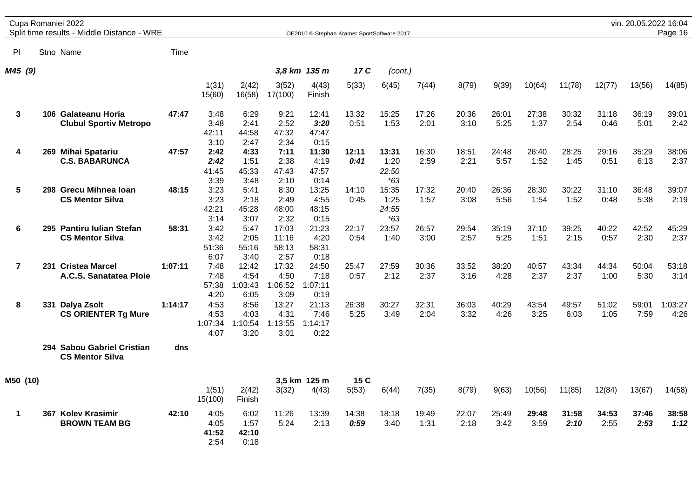|                |  | Cupa Romaniei 2022<br>Split time results - Middle Distance - WRE |         |                                 |                                  |                                  | OE2010 © Stephan Krämer SportSoftware 2017 |               |                                 |               |               |               |               |               |               | vin. 20.05.2022 16:04 | Page 16         |
|----------------|--|------------------------------------------------------------------|---------|---------------------------------|----------------------------------|----------------------------------|--------------------------------------------|---------------|---------------------------------|---------------|---------------|---------------|---------------|---------------|---------------|-----------------------|-----------------|
| P <sub>1</sub> |  | Stno Name                                                        | Time    |                                 |                                  |                                  |                                            |               |                                 |               |               |               |               |               |               |                       |                 |
| M45 (9)        |  |                                                                  |         |                                 |                                  |                                  | 3,8 km 135 m                               | 17 C          | (cont.)                         |               |               |               |               |               |               |                       |                 |
|                |  |                                                                  |         | 1(31)<br>15(60)                 | 2(42)<br>16(58)                  | 3(52)<br>17(100)                 | 4(43)<br>Finish                            | 5(33)         | 6(45)                           | 7(44)         | 8(79)         | 9(39)         | 10(64)        | 11(78)        | 12(77)        | 13(56)                | 14(85)          |
| $\mathbf{3}$   |  | 106 Galateanu Horia<br><b>Clubul Sportiv Metropo</b>             | 47:47   | 3:48<br>3:48<br>42:11<br>3:10   | 6:29<br>2:41<br>44:58<br>2:47    | 9:21<br>2:52<br>47:32<br>2:34    | 12:41<br>3:20<br>47:47<br>0:15             | 13:32<br>0:51 | 15:25<br>1:53                   | 17:26<br>2:01 | 20:36<br>3:10 | 26:01<br>5:25 | 27:38<br>1:37 | 30:32<br>2:54 | 31:18<br>0:46 | 36:19<br>5:01         | 39:01<br>2:42   |
| 4              |  | 269 Mihai Spatariu<br><b>C.S. BABARUNCA</b>                      | 47:57   | 2:42<br>2:42<br>41:45<br>3:39   | 4:33<br>1:51<br>45:33<br>3:48    | 7:11<br>2:38<br>47:43<br>2:10    | 11:30<br>4:19<br>47:57<br>0:14             | 12:11<br>0:41 | 13:31<br>1:20<br>22:50<br>$*63$ | 16:30<br>2:59 | 18:51<br>2:21 | 24:48<br>5:57 | 26:40<br>1:52 | 28:25<br>1:45 | 29:16<br>0:51 | 35:29<br>6:13         | 38:06<br>2:37   |
| 5              |  | 298 Grecu Mihnea Ioan<br><b>CS Mentor Silva</b>                  | 48:15   | 3:23<br>3:23<br>42:21<br>3:14   | 5:41<br>2:18<br>45:28<br>3:07    | 8:30<br>2:49<br>48:00<br>2:32    | 13:25<br>4:55<br>48:15<br>0:15             | 14:10<br>0:45 | 15:35<br>1:25<br>24:55<br>$*63$ | 17:32<br>1:57 | 20:40<br>3:08 | 26:36<br>5:56 | 28:30<br>1:54 | 30:22<br>1:52 | 31:10<br>0:48 | 36:48<br>5:38         | 39:07<br>2:19   |
| 6              |  | 295 Pantiru Iulian Stefan<br><b>CS Mentor Silva</b>              | 58:31   | 3:42<br>3:42<br>51:36<br>6:07   | 5:47<br>2:05<br>55:16<br>3:40    | 17:03<br>11:16<br>58:13<br>2:57  | 21:23<br>4:20<br>58:31<br>0:18             | 22:17<br>0:54 | 23:57<br>1:40                   | 26:57<br>3:00 | 29:54<br>2:57 | 35:19<br>5:25 | 37:10<br>1:51 | 39:25<br>2:15 | 40:22<br>0:57 | 42:52<br>2:30         | 45:29<br>2:37   |
| $\overline{7}$ |  | 231 Cristea Marcel<br>A.C.S. Sanatatea Ploie                     | 1:07:11 | 7:48<br>7:48<br>57:38<br>4:20   | 12:42<br>4:54<br>1:03:43<br>6:05 | 17:32<br>4:50<br>1:06:52<br>3:09 | 24:50<br>7:18<br>1:07:11<br>0:19           | 25:47<br>0:57 | 27:59<br>2:12                   | 30:36<br>2:37 | 33:52<br>3:16 | 38:20<br>4:28 | 40:57<br>2:37 | 43:34<br>2:37 | 44:34<br>1:00 | 50:04<br>5:30         | 53:18<br>3:14   |
| 8              |  | 331 Dalya Zsolt<br><b>CS ORIENTER Tg Mure</b>                    | 1:14:17 | 4:53<br>4:53<br>1:07:34<br>4:07 | 8:56<br>4:03<br>1:10:54<br>3:20  | 13:27<br>4:31<br>1:13:55<br>3:01 | 21:13<br>7:46<br>1:14:17<br>0:22           | 26:38<br>5:25 | 30:27<br>3:49                   | 32:31<br>2:04 | 36:03<br>3:32 | 40:29<br>4:26 | 43:54<br>3:25 | 49:57<br>6:03 | 51:02<br>1:05 | 59:01<br>7:59         | 1:03:27<br>4:26 |
|                |  | 294 Sabou Gabriel Cristian<br><b>CS Mentor Silva</b>             | dns     |                                 |                                  |                                  |                                            |               |                                 |               |               |               |               |               |               |                       |                 |
| M50 (10)       |  |                                                                  |         | 1(51)<br>15(100)                | 2(42)<br>Finish                  | 3(32)                            | 3,5 km 125 m<br>4(43)                      | 15 C<br>5(53) | 6(44)                           | 7(35)         | 8(79)         | 9(63)         | 10(56)        | 11(85)        | 12(84)        | 13(67)                | 14(58)          |
| $\mathbf 1$    |  | 367 Kolev Krasimir<br><b>BROWN TEAM BG</b>                       | 42:10   | 4:05<br>4:05<br>41:52<br>2:54   | 6:02<br>1:57<br>42:10<br>0:18    | 11:26<br>5:24                    | 13:39<br>2:13                              | 14:38<br>0:59 | 18:18<br>3:40                   | 19:49<br>1:31 | 22:07<br>2:18 | 25:49<br>3:42 | 29:48<br>3:59 | 31:58<br>2:10 | 34:53<br>2:55 | 37:46<br>2:53         | 38:58<br>1:12   |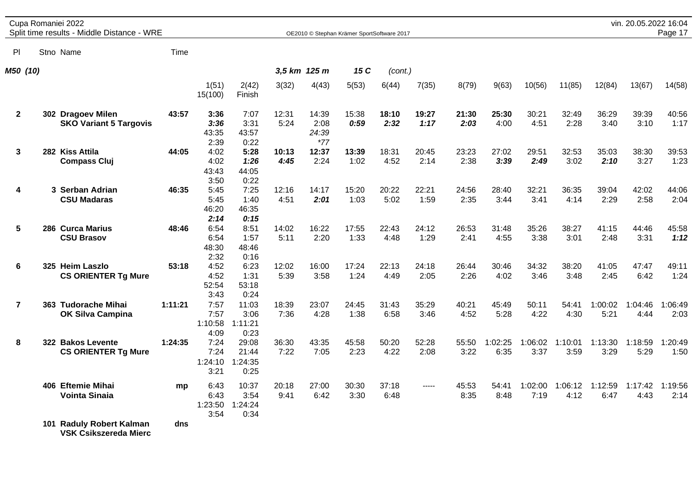|                         | Cupa Romaniei 2022<br>Split time results - Middle Distance - WRE |         |                                 |                                   |               |                                 | OE2010 © Stephan Krämer SportSoftware 2017 |               |               |               |                 |                 |                 |                 | vin. 20.05.2022 16:04   | Page 17         |
|-------------------------|------------------------------------------------------------------|---------|---------------------------------|-----------------------------------|---------------|---------------------------------|--------------------------------------------|---------------|---------------|---------------|-----------------|-----------------|-----------------|-----------------|-------------------------|-----------------|
| ΡI                      | Stno Name                                                        | Time    |                                 |                                   |               |                                 |                                            |               |               |               |                 |                 |                 |                 |                         |                 |
| M50 (10)                |                                                                  |         |                                 |                                   |               | 3,5 km 125 m                    | 15 C                                       | (cont.)       |               |               |                 |                 |                 |                 |                         |                 |
|                         |                                                                  |         | 1(51)<br>15(100)                | 2(42)<br>Finish                   | 3(32)         | 4(43)                           | 5(53)                                      | 6(44)         | 7(35)         | 8(79)         | 9(63)           | 10(56)          | 11(85)          | 12(84)          | 13(67)                  | 14(58)          |
| $\mathbf{2}$            | 302 Dragoev Milen<br><b>SKO Variant 5 Targovis</b>               | 43:57   | 3:36<br>3:36<br>43:35<br>2:39   | 7:07<br>3:31<br>43:57<br>0:22     | 12:31<br>5:24 | 14:39<br>2:08<br>24:39<br>$*77$ | 15:38<br>0:59                              | 18:10<br>2:32 | 19:27<br>1:17 | 21:30<br>2:03 | 25:30<br>4:00   | 30:21<br>4:51   | 32:49<br>2:28   | 36:29<br>3:40   | 39:39<br>3:10           | 40:56<br>1:17   |
| 3                       | 282 Kiss Attila<br><b>Compass Cluj</b>                           | 44:05   | 4:02<br>4:02<br>43:43<br>3:50   | 5:28<br>1:26<br>44:05<br>0:22     | 10:13<br>4:45 | 12:37<br>2:24                   | 13:39<br>1:02                              | 18:31<br>4:52 | 20:45<br>2:14 | 23:23<br>2:38 | 27:02<br>3:39   | 29:51<br>2:49   | 32:53<br>3:02   | 35:03<br>2:10   | 38:30<br>3:27           | 39:53<br>1:23   |
| 4                       | 3 Serban Adrian<br><b>CSU Madaras</b>                            | 46:35   | 5:45<br>5:45<br>46:20<br>2:14   | 7:25<br>1:40<br>46:35<br>0:15     | 12:16<br>4:51 | 14:17<br>2:01                   | 15:20<br>1:03                              | 20:22<br>5:02 | 22:21<br>1:59 | 24:56<br>2:35 | 28:40<br>3:44   | 32:21<br>3:41   | 36:35<br>4:14   | 39:04<br>2:29   | 42:02<br>2:58           | 44:06<br>2:04   |
| 5                       | 286 Curca Marius<br><b>CSU Brasov</b>                            | 48:46   | 6:54<br>6:54<br>48:30<br>2:32   | 8:51<br>1:57<br>48:46<br>0:16     | 14:02<br>5:11 | 16:22<br>2:20                   | 17:55<br>1:33                              | 22:43<br>4:48 | 24:12<br>1:29 | 26:53<br>2:41 | 31:48<br>4:55   | 35:26<br>3:38   | 38:27<br>3:01   | 41:15<br>2:48   | 44:46<br>3:31           | 45:58<br>1:12   |
| 6                       | 325 Heim Laszlo<br><b>CS ORIENTER Tg Mure</b>                    | 53:18   | 4:52<br>4:52<br>52:54<br>3:43   | 6:23<br>1:31<br>53:18<br>0:24     | 12:02<br>5:39 | 16:00<br>3:58                   | 17:24<br>1:24                              | 22:13<br>4:49 | 24:18<br>2:05 | 26:44<br>2:26 | 30:46<br>4:02   | 34:32<br>3:46   | 38:20<br>3:48   | 41:05<br>2:45   | 47:47<br>6:42           | 49:11<br>1:24   |
| $\overline{\mathbf{r}}$ | 363 Tudorache Mihai<br><b>OK Silva Campina</b>                   | 1:11:21 | 7:57<br>7:57<br>1:10:58<br>4:09 | 11:03<br>3:06<br>1:11:21<br>0:23  | 18:39<br>7:36 | 23:07<br>4:28                   | 24:45<br>1:38                              | 31:43<br>6:58 | 35:29<br>3:46 | 40:21<br>4:52 | 45:49<br>5:28   | 50:11<br>4:22   | 54:41<br>4:30   | 1:00:02<br>5:21 | 1:04:46<br>4:44         | 1:06:49<br>2:03 |
| 8                       | 322 Bakos Levente<br><b>CS ORIENTER Tg Mure</b>                  | 1:24:35 | 7:24<br>7:24<br>1:24:10<br>3:21 | 29:08<br>21:44<br>1:24:35<br>0:25 | 36:30<br>7:22 | 43:35<br>7:05                   | 45:58<br>2:23                              | 50:20<br>4:22 | 52:28<br>2:08 | 55:50<br>3:22 | 1:02:25<br>6:35 | 1:06:02<br>3:37 | 1:10:01<br>3:59 | 1:13:30<br>3:29 | 1:18:59<br>5:29         | 1:20:49<br>1:50 |
|                         | 406 Eftemie Mihai<br><b>Vointa Sinaia</b>                        | mp      | 6:43<br>6:43<br>1:23:50<br>3:54 | 10:37<br>3:54<br>1:24:24<br>0:34  | 20:18<br>9:41 | 27:00<br>6:42                   | 30:30<br>3:30                              | 37:18<br>6:48 | -----         | 45:53<br>8:35 | 54:41<br>8:48   | 1:02:00<br>7:19 | 1:06:12<br>4:12 | 1:12:59<br>6:47 | 1:17:42 1:19:56<br>4:43 | 2:14            |
|                         | 101 Raduly Robert Kalman<br><b>VSK Csikszereda Mierc</b>         | dns     |                                 |                                   |               |                                 |                                            |               |               |               |                 |                 |                 |                 |                         |                 |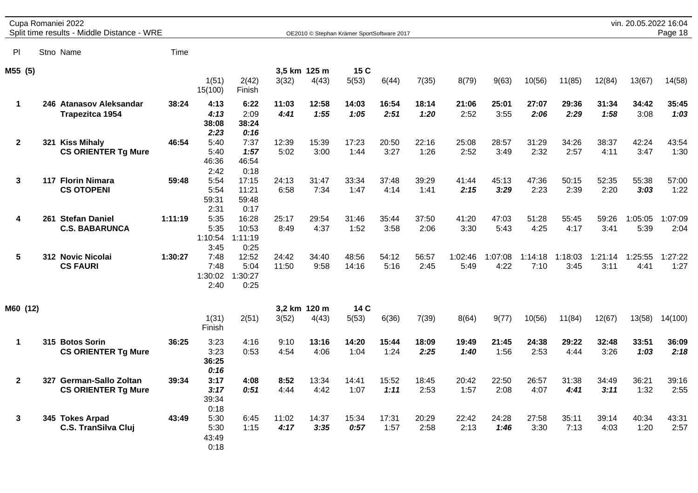|              |     | Cupa Romaniei 2022<br>Split time results - Middle Distance - WRE |         |                                 |                                   |                |                       | OE2010 © Stephan Krämer SportSoftware 2017 |               |               |                 |                 |                 |                 |                 | vin. 20.05.2022 16:04 | Page 18         |
|--------------|-----|------------------------------------------------------------------|---------|---------------------------------|-----------------------------------|----------------|-----------------------|--------------------------------------------|---------------|---------------|-----------------|-----------------|-----------------|-----------------|-----------------|-----------------------|-----------------|
| PI           |     | Stno Name                                                        | Time    |                                 |                                   |                |                       |                                            |               |               |                 |                 |                 |                 |                 |                       |                 |
| M55 (5)      |     |                                                                  |         | 1(51)<br>15(100)                | 2(42)<br>Finish                   | 3(32)          | 3,5 km 125 m<br>4(43) | 15 C<br>5(53)                              | 6(44)         | 7(35)         | 8(79)           | 9(63)           | 10(56)          | 11(85)          | 12(84)          | 13(67)                | 14(58)          |
| $\mathbf 1$  |     | 246 Atanasov Aleksandar<br>Trapezitca 1954                       | 38:24   | 4:13<br>4:13<br>38:08<br>2:23   | 6:22<br>2:09<br>38:24<br>0:16     | 11:03<br>4:41  | 12:58<br>1:55         | 14:03<br>1:05                              | 16:54<br>2:51 | 18:14<br>1:20 | 21:06<br>2:52   | 25:01<br>3:55   | 27:07<br>2:06   | 29:36<br>2:29   | 31:34<br>1:58   | 34:42<br>3:08         | 35:45<br>1:03   |
| $\mathbf{2}$ |     | 321 Kiss Mihaly<br><b>CS ORIENTER Tg Mure</b>                    | 46:54   | 5:40<br>5:40<br>46:36<br>2:42   | 7:37<br>1:57<br>46:54<br>0:18     | 12:39<br>5:02  | 15:39<br>3:00         | 17:23<br>1:44                              | 20:50<br>3:27 | 22:16<br>1:26 | 25:08<br>2:52   | 28:57<br>3:49   | 31:29<br>2:32   | 34:26<br>2:57   | 38:37<br>4:11   | 42:24<br>3:47         | 43:54<br>1:30   |
| 3            |     | 117 Florin Nimara<br><b>CS OTOPENI</b>                           | 59:48   | 5:54<br>5:54<br>59:31<br>2:31   | 17:15<br>11:21<br>59:48<br>0:17   | 24:13<br>6:58  | 31:47<br>7:34         | 33:34<br>1:47                              | 37:48<br>4:14 | 39:29<br>1:41 | 41:44<br>2:15   | 45:13<br>3:29   | 47:36<br>2:23   | 50:15<br>2:39   | 52:35<br>2:20   | 55:38<br>3:03         | 57:00<br>1:22   |
| 4            | 261 | <b>Stefan Daniel</b><br><b>C.S. BABARUNCA</b>                    | 1:11:19 | 5:35<br>5:35<br>1:10:54<br>3:45 | 16:28<br>10:53<br>1:11:19<br>0:25 | 25:17<br>8:49  | 29:54<br>4:37         | 31:46<br>1:52                              | 35:44<br>3:58 | 37:50<br>2:06 | 41:20<br>3:30   | 47:03<br>5:43   | 51:28<br>4:25   | 55:45<br>4:17   | 59:26<br>3:41   | 1:05:05<br>5:39       | 1:07:09<br>2:04 |
| 5            |     | 312 Novic Nicolai<br><b>CS FAURI</b>                             | 1:30:27 | 7:48<br>7:48<br>1:30:02<br>2:40 | 12:52<br>5:04<br>1:30:27<br>0:25  | 24:42<br>11:50 | 34:40<br>9:58         | 48:56<br>14:16                             | 54:12<br>5:16 | 56:57<br>2:45 | 1:02:46<br>5:49 | 1:07:08<br>4:22 | 1:14:18<br>7:10 | 1:18:03<br>3:45 | 1:21:14<br>3:11 | 1:25:55<br>4:41       | 1:27:22<br>1:27 |
| M60 (12)     |     |                                                                  |         |                                 |                                   |                | 3,2 km 120 m          | 14 C                                       |               |               |                 |                 |                 |                 |                 |                       |                 |
|              |     |                                                                  |         | 1(31)<br>Finish                 | 2(51)                             | 3(52)          | 4(43)                 | 5(53)                                      | 6(36)         | 7(39)         | 8(64)           | 9(77)           | 10(56)          | 11(84)          | 12(67)          | 13(58)                | 14(100)         |
| $\mathbf 1$  |     | 315 Botos Sorin<br><b>CS ORIENTER Tg Mure</b>                    | 36:25   | 3:23<br>3:23<br>36:25<br>0:16   | 4:16<br>0:53                      | 9:10<br>4:54   | 13:16<br>4:06         | 14:20<br>1:04                              | 15:44<br>1:24 | 18:09<br>2:25 | 19:49<br>1:40   | 21:45<br>1:56   | 24:38<br>2:53   | 29:22<br>4:44   | 32:48<br>3:26   | 33:51<br>1:03         | 36:09<br>2:18   |
| $\mathbf{2}$ |     | 327 German-Sallo Zoltan<br><b>CS ORIENTER Tg Mure</b>            | 39:34   | 3:17<br>3:17<br>39:34<br>0:18   | 4:08<br>0:51                      | 8:52<br>4:44   | 13:34<br>4:42         | 14:41<br>1:07                              | 15:52<br>1:11 | 18:45<br>2:53 | 20:42<br>1:57   | 22:50<br>2:08   | 26:57<br>4:07   | 31:38<br>4:41   | 34:49<br>3:11   | 36:21<br>1:32         | 39:16<br>2:55   |
| 3            |     | 345 Tokes Arpad<br><b>C.S. TranSilva Cluj</b>                    | 43:49   | 5:30<br>5:30<br>43:49<br>0:18   | 6:45<br>1:15                      | 11:02<br>4:17  | 14:37<br>3:35         | 15:34<br>0:57                              | 17:31<br>1:57 | 20:29<br>2:58 | 22:42<br>2:13   | 24:28<br>1:46   | 27:58<br>3:30   | 35:11<br>7:13   | 39:14<br>4:03   | 40:34<br>1:20         | 43:31<br>2:57   |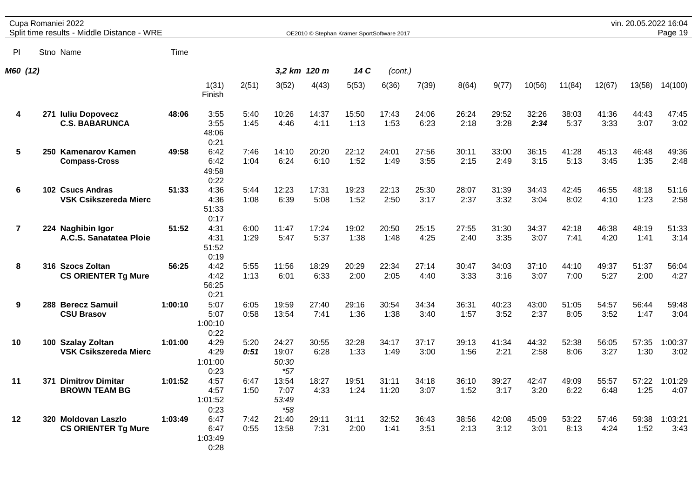|                | Cupa Romaniei 2022<br>Split time results - Middle Distance - WRE |         |                                 |              |                                  | OE2010 © Stephan Krämer SportSoftware 2017 |               |                |               |               |               |               |               |               | vin. 20.05.2022 16:04 | Page 19         |
|----------------|------------------------------------------------------------------|---------|---------------------------------|--------------|----------------------------------|--------------------------------------------|---------------|----------------|---------------|---------------|---------------|---------------|---------------|---------------|-----------------------|-----------------|
| PI             | Stno Name                                                        | Time    |                                 |              |                                  |                                            |               |                |               |               |               |               |               |               |                       |                 |
| M60 (12)       |                                                                  |         |                                 |              |                                  | 3,2 km 120 m                               | 14 C          | (cont.)        |               |               |               |               |               |               |                       |                 |
|                |                                                                  |         | 1(31)<br>Finish                 | 2(51)        | 3(52)                            | 4(43)                                      | 5(53)         | 6(36)          | 7(39)         | 8(64)         | 9(77)         | 10(56)        | 11(84)        | 12(67)        | 13(58)                | 14(100)         |
| 4              | 271 Iuliu Dopovecz<br><b>C.S. BABARUNCA</b>                      | 48:06   | 3:55<br>3:55<br>48:06<br>0:21   | 5:40<br>1:45 | 10:26<br>4:46                    | 14:37<br>4:11                              | 15:50<br>1:13 | 17:43<br>1:53  | 24:06<br>6:23 | 26:24<br>2:18 | 29:52<br>3:28 | 32:26<br>2:34 | 38:03<br>5:37 | 41:36<br>3:33 | 44:43<br>3:07         | 47:45<br>3:02   |
| 5              | 250 Kamenarov Kamen<br><b>Compass-Cross</b>                      | 49:58   | 6:42<br>6:42<br>49:58<br>0:22   | 7:46<br>1:04 | 14:10<br>6:24                    | 20:20<br>6:10                              | 22:12<br>1:52 | 24:01<br>1:49  | 27:56<br>3:55 | 30:11<br>2:15 | 33:00<br>2:49 | 36:15<br>3:15 | 41:28<br>5:13 | 45:13<br>3:45 | 46:48<br>1:35         | 49:36<br>2:48   |
| 6              | 102 Csucs Andras<br><b>VSK Csikszereda Mierc</b>                 | 51:33   | 4:36<br>4:36<br>51:33<br>0:17   | 5:44<br>1:08 | 12:23<br>6:39                    | 17:31<br>5:08                              | 19:23<br>1:52 | 22:13<br>2:50  | 25:30<br>3:17 | 28:07<br>2:37 | 31:39<br>3:32 | 34:43<br>3:04 | 42:45<br>8:02 | 46:55<br>4:10 | 48:18<br>1:23         | 51:16<br>2:58   |
| $\overline{7}$ | 224 Naghibin Igor<br>A.C.S. Sanatatea Ploie                      | 51:52   | 4:31<br>4:31<br>51:52<br>0:19   | 6:00<br>1:29 | 11:47<br>5:47                    | 17:24<br>5:37                              | 19:02<br>1:38 | 20:50<br>1:48  | 25:15<br>4:25 | 27:55<br>2:40 | 31:30<br>3:35 | 34:37<br>3:07 | 42:18<br>7:41 | 46:38<br>4:20 | 48:19<br>1:41         | 51:33<br>3:14   |
| 8              | 316 Szocs Zoltan<br><b>CS ORIENTER Tg Mure</b>                   | 56:25   | 4:42<br>4:42<br>56:25<br>0:21   | 5:55<br>1:13 | 11:56<br>6:01                    | 18:29<br>6:33                              | 20:29<br>2:00 | 22:34<br>2:05  | 27:14<br>4:40 | 30:47<br>3:33 | 34:03<br>3:16 | 37:10<br>3:07 | 44:10<br>7:00 | 49:37<br>5:27 | 51:37<br>2:00         | 56:04<br>4:27   |
| 9              | 288 Berecz Samuil<br><b>CSU Brasov</b>                           | 1:00:10 | 5:07<br>5:07<br>1:00:10<br>0:22 | 6:05<br>0:58 | 19:59<br>13:54                   | 27:40<br>7:41                              | 29:16<br>1:36 | 30:54<br>1:38  | 34:34<br>3:40 | 36:31<br>1:57 | 40:23<br>3:52 | 43:00<br>2:37 | 51:05<br>8:05 | 54:57<br>3:52 | 56:44<br>1:47         | 59:48<br>3:04   |
| 10             | 100 Szalay Zoltan<br><b>VSK Csikszereda Mierc</b>                | 1:01:00 | 4:29<br>4:29<br>1:01:00<br>0:23 | 5:20<br>0:51 | 24:27<br>19:07<br>50:30<br>$*57$ | 30:55<br>6:28                              | 32:28<br>1:33 | 34:17<br>1:49  | 37:17<br>3:00 | 39:13<br>1:56 | 41:34<br>2:21 | 44:32<br>2:58 | 52:38<br>8:06 | 56:05<br>3:27 | 57:35<br>1:30         | 1:00:37<br>3:02 |
| 11             | 371 Dimitrov Dimitar<br><b>BROWN TEAM BG</b>                     | 1:01:52 | 4:57<br>4:57<br>1:01:52<br>0:23 | 6:47<br>1:50 | 13:54<br>7:07<br>53:49<br>$*58$  | 18:27<br>4:33                              | 19:51<br>1:24 | 31:11<br>11:20 | 34:18<br>3:07 | 36:10<br>1:52 | 39:27<br>3:17 | 42:47<br>3:20 | 49:09<br>6:22 | 55:57<br>6:48 | 57:22<br>1:25         | 1:01:29<br>4:07 |
| 12             | 320 Moldovan Laszlo<br><b>CS ORIENTER Tg Mure</b>                | 1:03:49 | 6:47<br>6:47<br>1:03:49<br>0:28 | 7:42<br>0:55 | 21:40<br>13:58                   | 29:11<br>7:31                              | 31:11<br>2:00 | 32:52<br>1:41  | 36:43<br>3:51 | 38:56<br>2:13 | 42:08<br>3:12 | 45:09<br>3:01 | 53:22<br>8:13 | 57:46<br>4:24 | 59:38<br>1:52         | 1:03:21<br>3:43 |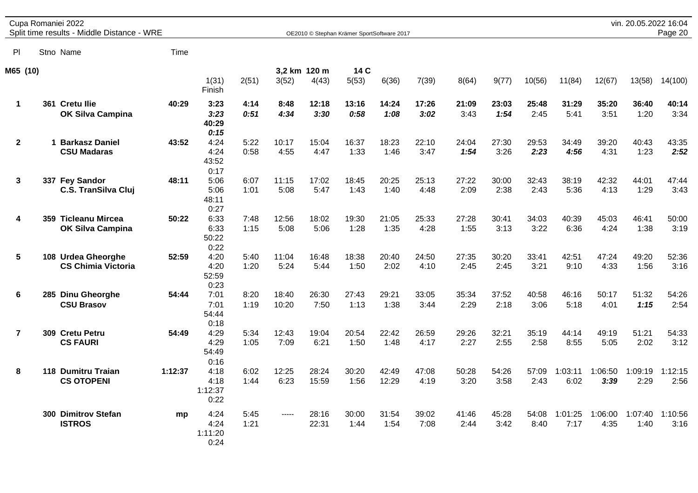|                | Cupa Romaniei 2022<br>Split time results - Middle Distance - WRE |         |                                 |              |                |                       | OE2010 © Stephan Krämer SportSoftware 2017 |                |               |               |               |               |                 |                 | vin. 20.05.2022 16:04 | Page 20         |
|----------------|------------------------------------------------------------------|---------|---------------------------------|--------------|----------------|-----------------------|--------------------------------------------|----------------|---------------|---------------|---------------|---------------|-----------------|-----------------|-----------------------|-----------------|
| PI             | Stno Name                                                        | Time    |                                 |              |                |                       |                                            |                |               |               |               |               |                 |                 |                       |                 |
| M65 (10)       |                                                                  |         | 1(31)<br>Finish                 | 2(51)        | 3(52)          | 3,2 km 120 m<br>4(43) | 14 C<br>5(53)                              | 6(36)          | 7(39)         | 8(64)         | 9(77)         | 10(56)        | 11(84)          | 12(67)          | 13(58)                | 14(100)         |
| $\mathbf 1$    | 361 Cretu Ilie<br><b>OK Silva Campina</b>                        | 40:29   | 3:23<br>3:23<br>40:29<br>0:15   | 4:14<br>0:51 | 8:48<br>4:34   | 12:18<br>3:30         | 13:16<br>0:58                              | 14:24<br>1:08  | 17:26<br>3:02 | 21:09<br>3:43 | 23:03<br>1:54 | 25:48<br>2:45 | 31:29<br>5:41   | 35:20<br>3:51   | 36:40<br>1:20         | 40:14<br>3:34   |
| $\mathbf{2}$   | 1 Barkasz Daniel<br><b>CSU Madaras</b>                           | 43:52   | 4:24<br>4:24<br>43:52<br>0:17   | 5:22<br>0:58 | 10:17<br>4:55  | 15:04<br>4:47         | 16:37<br>1:33                              | 18:23<br>1:46  | 22:10<br>3:47 | 24:04<br>1:54 | 27:30<br>3:26 | 29:53<br>2:23 | 34:49<br>4:56   | 39:20<br>4:31   | 40:43<br>1:23         | 43:35<br>2:52   |
| 3              | 337 Fey Sandor<br><b>C.S. TranSilva Cluj</b>                     | 48:11   | 5:06<br>5:06<br>48:11<br>0:27   | 6:07<br>1:01 | 11:15<br>5:08  | 17:02<br>5:47         | 18:45<br>1:43                              | 20:25<br>1:40  | 25:13<br>4:48 | 27:22<br>2:09 | 30:00<br>2:38 | 32:43<br>2:43 | 38:19<br>5:36   | 42:32<br>4:13   | 44:01<br>1:29         | 47:44<br>3:43   |
| 4              | 359 Ticleanu Mircea<br><b>OK Silva Campina</b>                   | 50:22   | 6:33<br>6:33<br>50:22<br>0:22   | 7:48<br>1:15 | 12:56<br>5:08  | 18:02<br>5:06         | 19:30<br>1:28                              | 21:05<br>1:35  | 25:33<br>4:28 | 27:28<br>1:55 | 30:41<br>3:13 | 34:03<br>3:22 | 40:39<br>6:36   | 45:03<br>4:24   | 46:41<br>1:38         | 50:00<br>3:19   |
| 5              | 108 Urdea Gheorghe<br><b>CS Chimia Victoria</b>                  | 52:59   | 4:20<br>4:20<br>52:59<br>0:23   | 5:40<br>1:20 | 11:04<br>5:24  | 16:48<br>5:44         | 18:38<br>1:50                              | 20:40<br>2:02  | 24:50<br>4:10 | 27:35<br>2:45 | 30:20<br>2:45 | 33:41<br>3:21 | 42:51<br>9:10   | 47:24<br>4:33   | 49:20<br>1:56         | 52:36<br>3:16   |
| 6              | 285 Dinu Gheorghe<br><b>CSU Brasov</b>                           | 54:44   | 7:01<br>7:01<br>54:44<br>0:18   | 8:20<br>1:19 | 18:40<br>10:20 | 26:30<br>7:50         | 27:43<br>1:13                              | 29:21<br>1:38  | 33:05<br>3:44 | 35:34<br>2:29 | 37:52<br>2:18 | 40:58<br>3:06 | 46:16<br>5:18   | 50:17<br>4:01   | 51:32<br>1:15         | 54:26<br>2:54   |
| $\overline{7}$ | 309 Cretu Petru<br><b>CS FAURI</b>                               | 54:49   | 4:29<br>4:29<br>54:49<br>0:16   | 5:34<br>1:05 | 12:43<br>7:09  | 19:04<br>6:21         | 20:54<br>1:50                              | 22:42<br>1:48  | 26:59<br>4:17 | 29:26<br>2:27 | 32:21<br>2:55 | 35:19<br>2:58 | 44:14<br>8:55   | 49:19<br>5:05   | 51:21<br>2:02         | 54:33<br>3:12   |
| 8              | 118 Dumitru Traian<br><b>CS OTOPENI</b>                          | 1:12:37 | 4:18<br>4:18<br>1:12:37<br>0:22 | 6:02<br>1:44 | 12:25<br>6:23  | 28:24<br>15:59        | 30:20<br>1:56                              | 42:49<br>12:29 | 47:08<br>4:19 | 50:28<br>3:20 | 54:26<br>3:58 | 57:09<br>2:43 | 1:03:11<br>6:02 | 1:06:50<br>3:39 | 1:09:19<br>2:29       | 1:12:15<br>2:56 |
|                | 300 Dimitrov Stefan<br><b>ISTROS</b>                             | mp      | 4:24<br>4:24<br>1:11:20<br>0:24 | 5:45<br>1:21 | -----          | 28:16<br>22:31        | 30:00<br>1:44                              | 31:54<br>1:54  | 39:02<br>7:08 | 41:46<br>2:44 | 45:28<br>3:42 | 54:08<br>8:40 | 1:01:25<br>7:17 | 1:06:00<br>4:35 | 1:07:40<br>1:40       | 1:10:56<br>3:16 |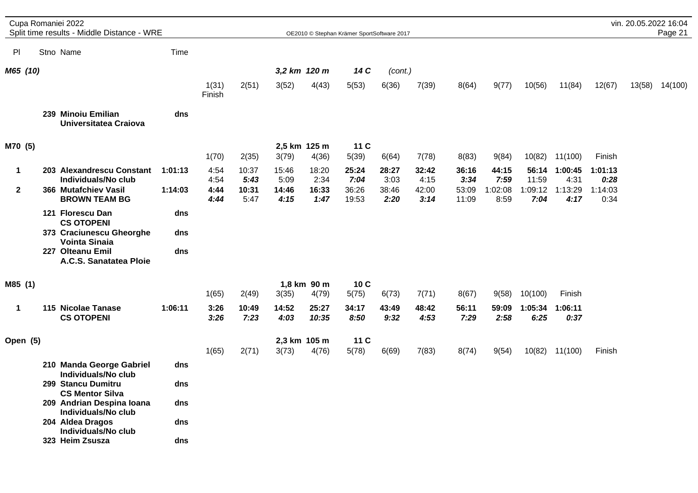|              | Cupa Romaniei 2022<br>Split time results - Middle Distance - WRE |         |                 |               |               |                      | OE2010 © Stephan Krämer SportSoftware 2017 |               |               |                |                 |                 |                 |                 | vin. 20.05.2022 16:04 | Page 21 |
|--------------|------------------------------------------------------------------|---------|-----------------|---------------|---------------|----------------------|--------------------------------------------|---------------|---------------|----------------|-----------------|-----------------|-----------------|-----------------|-----------------------|---------|
| PI.          | Stno Name                                                        | Time    |                 |               |               |                      |                                            |               |               |                |                 |                 |                 |                 |                       |         |
| M65 (10)     |                                                                  |         |                 |               |               | 3,2 km 120 m         | 14 C                                       | (cont.)       |               |                |                 |                 |                 |                 |                       |         |
|              |                                                                  |         | 1(31)<br>Finish | 2(51)         | 3(52)         | 4(43)                | 5(53)                                      | 6(36)         | 7(39)         | 8(64)          | 9(77)           | 10(56)          | 11(84)          | 12(67)          | 13(58)                | 14(100) |
|              | 239 Minoiu Emilian<br>Universitatea Craiova                      | dns     |                 |               |               |                      |                                            |               |               |                |                 |                 |                 |                 |                       |         |
| M70 (5)      |                                                                  |         |                 |               |               | 2,5 km 125 m         | 11 C                                       |               |               |                |                 |                 |                 |                 |                       |         |
|              |                                                                  |         | 1(70)           | 2(35)         | 3(79)         | 4(36)                | 5(39)                                      | 6(64)         | 7(78)         | 8(83)          | 9(84)           | 10(82)          | 11(100)         | Finish          |                       |         |
| 1            | 203 Alexandrescu Constant<br>Individuals/No club                 | 1:01:13 | 4:54<br>4:54    | 10:37<br>5:43 | 15:46<br>5:09 | 18:20<br>2:34        | 25:24<br>7:04                              | 28:27<br>3:03 | 32:42<br>4:15 | 36:16<br>3:34  | 44:15<br>7:59   | 56:14<br>11:59  | 1:00:45<br>4:31 | 1:01:13<br>0:28 |                       |         |
| $\mathbf{2}$ | 366 Mutafchiev Vasil<br><b>BROWN TEAM BG</b>                     | 1:14:03 | 4:44<br>4:44    | 10:31<br>5:47 | 14:46<br>4:15 | 16:33<br>1:47        | 36:26<br>19:53                             | 38:46<br>2:20 | 42:00<br>3:14 | 53:09<br>11:09 | 1:02:08<br>8:59 | 1:09:12<br>7:04 | 1:13:29<br>4:17 | 1:14:03<br>0:34 |                       |         |
|              | 121 Florescu Dan<br><b>CS OTOPENI</b>                            | dns     |                 |               |               |                      |                                            |               |               |                |                 |                 |                 |                 |                       |         |
|              | 373 Craciunescu Gheorghe<br><b>Vointa Sinaia</b>                 | dns     |                 |               |               |                      |                                            |               |               |                |                 |                 |                 |                 |                       |         |
|              | 227 Olteanu Emil<br>A.C.S. Sanatatea Ploie                       | dns     |                 |               |               |                      |                                            |               |               |                |                 |                 |                 |                 |                       |         |
| M85 (1)      |                                                                  |         | 1(65)           | 2(49)         | 3(35)         | 1,8 km 90 m<br>4(79) | 10C<br>5(75)                               | 6(73)         | 7(71)         | 8(67)          | 9(58)           | 10(100)         | Finish          |                 |                       |         |
|              | 115 Nicolae Tanase                                               |         |                 |               |               |                      |                                            |               |               |                |                 |                 |                 |                 |                       |         |
| 1            | <b>CS OTOPENI</b>                                                | 1:06:11 | 3:26<br>3:26    | 10:49<br>7:23 | 14:52<br>4:03 | 25:27<br>10:35       | 34:17<br>8:50                              | 43:49<br>9:32 | 48:42<br>4:53 | 56:11<br>7:29  | 59:09<br>2:58   | 1:05:34<br>6:25 | 1:06:11<br>0:37 |                 |                       |         |
| Open (5)     |                                                                  |         |                 |               |               | 2,3 km 105 m         | 11 C                                       |               |               |                |                 |                 |                 |                 |                       |         |
|              |                                                                  |         | 1(65)           | 2(71)         | 3(73)         | 4(76)                | 5(78)                                      | 6(69)         | 7(83)         | 8(74)          | 9(54)           | 10(82)          | 11(100)         | Finish          |                       |         |
|              | 210 Manda George Gabriel<br>Individuals/No club                  | dns     |                 |               |               |                      |                                            |               |               |                |                 |                 |                 |                 |                       |         |
|              | 299 Stancu Dumitru<br><b>CS Mentor Silva</b>                     | dns     |                 |               |               |                      |                                            |               |               |                |                 |                 |                 |                 |                       |         |
|              | 209 Andrian Despina Ioana<br>Individuals/No club                 | dns     |                 |               |               |                      |                                            |               |               |                |                 |                 |                 |                 |                       |         |
|              | 204 Aldea Dragos<br>Individuals/No club                          | dns     |                 |               |               |                      |                                            |               |               |                |                 |                 |                 |                 |                       |         |
|              | 323 Heim Zsusza                                                  | dns     |                 |               |               |                      |                                            |               |               |                |                 |                 |                 |                 |                       |         |